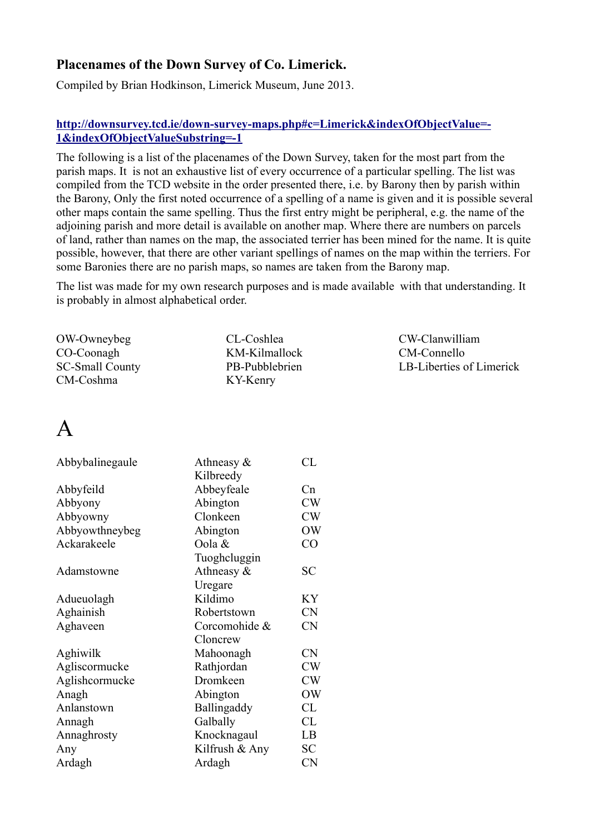#### **Placenames of the Down Survey of Co. Limerick.**

Compiled by Brian Hodkinson, Limerick Museum, June 2013.

#### **http://downsurvey.tcd.ie/down-survey-maps.php#c=Limerick&indexOfObjectValue=- 1&indexOfObjectValueSubstring=-1**

The following is a list of the placenames of the Down Survey, taken for the most part from the parish maps. It is not an exhaustive list of every occurrence of a particular spelling. The list was compiled from the TCD website in the order presented there, i.e. by Barony then by parish within the Barony, Only the first noted occurrence of a spelling of a name is given and it is possible several other maps contain the same spelling. Thus the first entry might be peripheral, e.g. the name of the adjoining parish and more detail is available on another map. Where there are numbers on parcels of land, rather than names on the map, the associated terrier has been mined for the name. It is quite possible, however, that there are other variant spellings of names on the map within the terriers. For some Baronies there are no parish maps, so names are taken from the Barony map.

The list was made for my own research purposes and is made available with that understanding. It is probably in almost alphabetical order.

| CL-Coshlea     |
|----------------|
| KM-Kilmallock  |
| PB-Pubblebrien |
| KY-Kenry       |
|                |

CW-Clanwilliam CM-Connello LB-Liberties of Limerick

#### A

| Athneasy $\&$  | CL        |
|----------------|-----------|
| Kilbreedy      |           |
| Abbeyfeale     | Cn        |
| Abington       | CW        |
| Clonkeen       | CW        |
| Abington       | <b>OW</b> |
| Oola &         | CO        |
| Tuoghcluggin   |           |
| Athneasy &     | SС        |
| Uregare        |           |
| Kildimo        | KY        |
| Robertstown    | <b>CN</b> |
| Corcomohide &  | <b>CN</b> |
| Cloncrew       |           |
| Mahoonagh      | <b>CN</b> |
| Rathjordan     | CW        |
| Dromkeen       | CW        |
| Abington       | OW        |
| Ballingaddy    | CL        |
| Galbally       | CL        |
| Knocknagaul    | LB        |
| Kilfrush & Any | <b>SC</b> |
| Ardagh         | <b>CN</b> |
|                |           |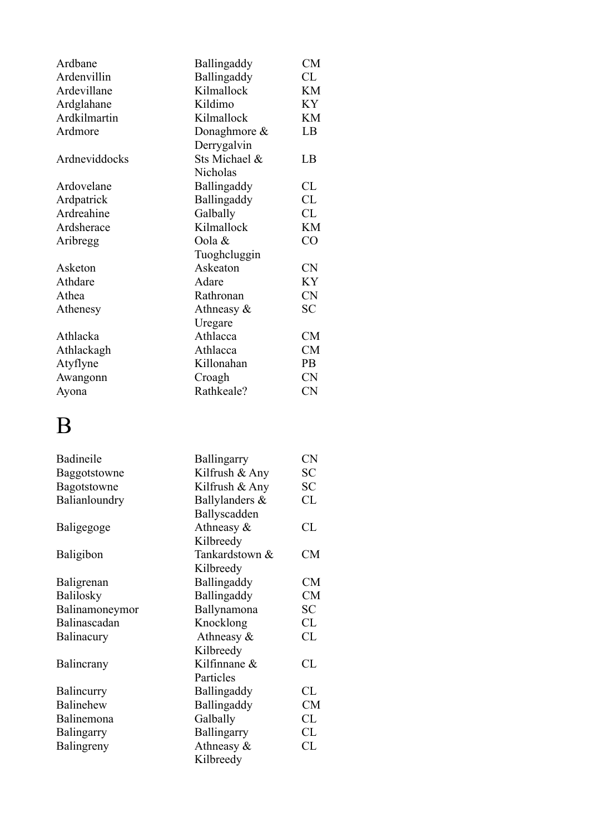| Ardbane       | Ballingaddy   | CM        |
|---------------|---------------|-----------|
| Ardenvillin   | Ballingaddy   | CL        |
| Ardevillane   | Kilmallock    | KM        |
| Ardglahane    | Kildimo       | KY        |
| Ardkilmartin  | Kilmallock    | KM        |
| Ardmore       | Donaghmore &  | LB        |
|               | Derrygalvin   |           |
| Ardneviddocks | Sts Michael & | LB        |
|               | Nicholas      |           |
| Ardovelane    | Ballingaddy   | CL        |
| Ardpatrick    | Ballingaddy   | CL        |
| Ardreahine    | Galbally      | CL        |
| Ardsherace    | Kilmallock    | KM        |
| Aribregg      | Oola &        | CO        |
|               | Tuoghcluggin  |           |
| Asketon       | Askeaton      | <b>CN</b> |
| Athdare       | Adare         | KY        |
| Athea         | Rathronan     | <b>CN</b> |
| Athenesy      | Athneasy &    | SC        |
|               | Uregare       |           |
| Athlacka      | Athlacca      | <b>CM</b> |
| Athlackagh    | Athlacca      | <b>CM</b> |
| Atyflyne      | Killonahan    | PB        |
| Awangonn      | Croagh        | <b>CN</b> |
| Ayona         | Rathkeale?    | <b>CN</b> |

# B

| Badineile           | <b>Ballingarry</b> | <b>CN</b> |
|---------------------|--------------------|-----------|
| <b>Baggotstowne</b> | Kilfrush & Any     | <b>SC</b> |
| Bagotstowne         | Kilfrush & Any     | SC        |
| Balianloundry       | Ballylanders &     | CL        |
|                     | Ballyscadden       |           |
| Baligegoge          | Athneasy $\&$      | CL        |
|                     | Kilbreedy          |           |
| Baligibon           | Tankardstown &     | <b>CM</b> |
|                     | Kilbreedy          |           |
| Baligrenan          | Ballingaddy        | <b>CM</b> |
| Balilosky           | Ballingaddy        | <b>CM</b> |
| Balinamoneymor      | Ballynamona        | SC        |
| Balinascadan        | Knocklong          | CL        |
| Balinacury          | Athneasy $\&$      | CL        |
|                     | Kilbreedy          |           |
| Balincrany          | Kilfinnane &       | CL        |
|                     | Particles          |           |
| Balincurry          | Ballingaddy        | CL        |
| Balinehew           | Ballingaddy        | <b>CM</b> |
| Balinemona          | Galbally           | CL        |
| Balingarry          | Ballingarry        | CL        |
| Balingreny          | Athneasy &         | CL        |
|                     | Kilbreedy          |           |
|                     |                    |           |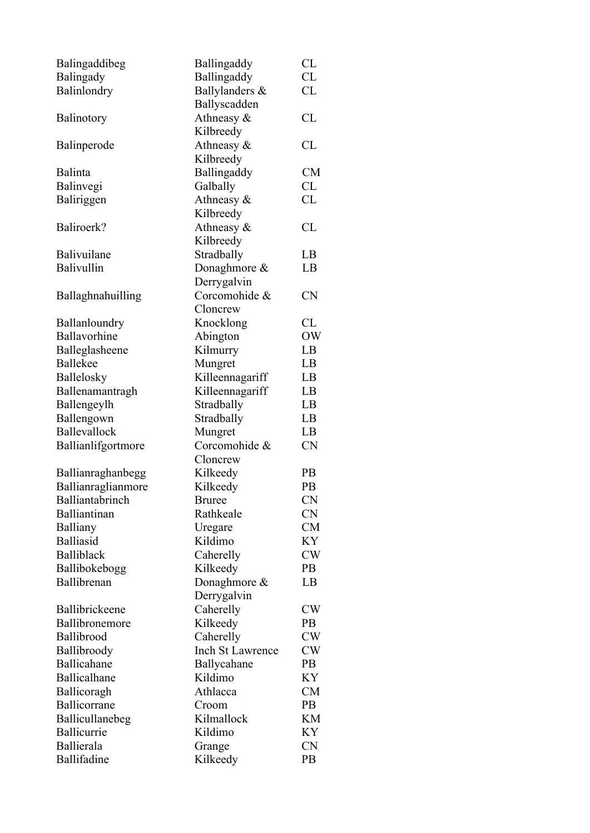| Balingaddibeg      | Ballingaddy            | CL             |
|--------------------|------------------------|----------------|
| Balingady          | Ballingaddy            | CL             |
| Balinlondry        | Ballylanders &         | CL             |
|                    | Ballyscadden           |                |
| Balinotory         | Athneasy $\&$          | CL             |
|                    | Kilbreedy              |                |
| Balinperode        | Athneasy $\&$          | CL             |
|                    | Kilbreedy              |                |
| Balinta            | Ballingaddy            | CM             |
| Balinvegi          | Galbally               | CL             |
| Baliriggen         | Athneasy &             | CL             |
|                    | Kilbreedy              |                |
| Baliroerk?         | Athneasy $\&$          | CL             |
|                    | Kilbreedy              |                |
| Balivuilane        | Stradbally             | LB             |
| Balivullin         | Donaghmore &           | LB             |
|                    | Derrygalvin            |                |
| Ballaghnahuilling  | Corcomohide &          | <b>CN</b>      |
|                    | Cloncrew               |                |
|                    |                        |                |
| Ballanloundry      | Knocklong              | CL             |
| Ballavorhine       | Abington               | <b>OW</b>      |
| Balleglasheene     | Kilmurry               | LB             |
| <b>Ballekee</b>    | Mungret                | LB             |
| Ballelosky         | Killeennagariff        | LB             |
| Ballenamantragh    | Killeennagariff        | LB             |
| Ballengeylh        | Stradbally             | LB             |
| Ballengown         | Stradbally             | LB             |
| Ballevallock       | Mungret                | LB             |
| Ballianlifgortmore | Corcomohide &          | <b>CN</b>      |
|                    | Cloncrew               |                |
| Ballianraghanbegg  | Kilkeedy               | <b>PB</b>      |
| Ballianraglianmore | Kilkeedy               | PB             |
| Balliantabrinch    | <b>Bruree</b>          | <b>CN</b>      |
| Balliantinan       | Rathkeale              | <b>CN</b>      |
| Balliany           | Uregare                | <b>CM</b>      |
| <b>Balliasid</b>   | Kildimo                | KY             |
| Balliblack         | Caherelly              | CW             |
| Ballibokebogg      | Kilkeedy               | P <sub>B</sub> |
| Ballibrenan        | Donaghmore &           | LB             |
|                    | Derrygalvin            |                |
| Ballibrickeene     | Caherelly              | CW             |
| Ballibronemore     | Kilkeedy               | PB             |
| Ballibrood         | Caherelly              | CW             |
| Ballibroody        | Inch St Lawrence       | <b>CW</b>      |
| Ballicahane        |                        | P <sub>B</sub> |
| Ballicalhane       | Ballycahane<br>Kildimo |                |
|                    |                        | KY             |
| Ballicoragh        | Athlacca               | <b>CM</b>      |
| Ballicorrane       | Croom                  | PB             |
| Ballicullanebeg    | Kilmallock             | KM             |
| Ballicurrie        | Kildimo                | KY             |
| Ballierala         | Grange                 | <b>CN</b>      |
| Ballifadine        | Kilkeedy               | PB             |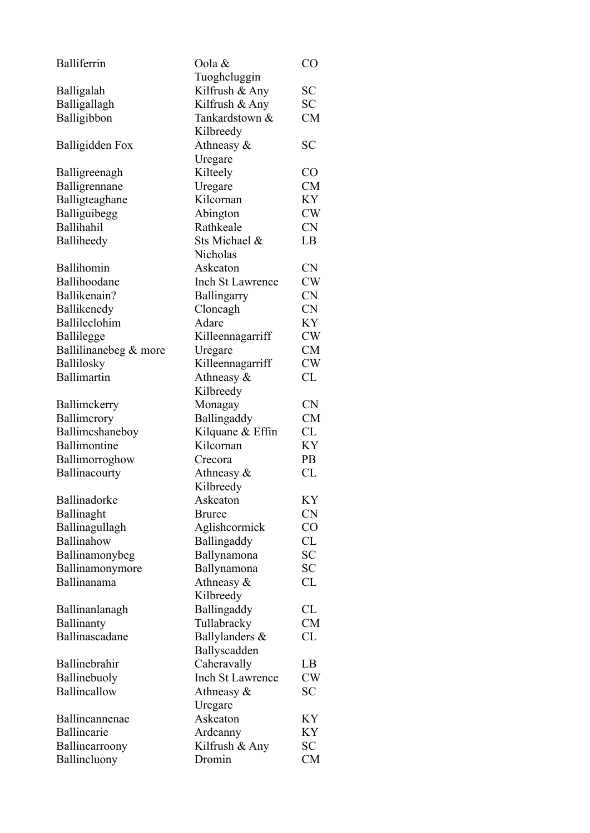| Balliferrin           | Oola &<br>Tuoghcluggin      | CO        |
|-----------------------|-----------------------------|-----------|
|                       | Kilfrush & Any              | SС        |
| Balligalah            |                             |           |
| Balligallagh          | Kilfrush & Any              | SC        |
| Balligibbon           | Tankardstown &<br>Kilbreedy | CM        |
| Balligidden Fox       | Athneasy $\&$               | SC        |
|                       |                             |           |
|                       | Uregare                     |           |
| Balligreenagh         | Kilteely                    | $\rm CO$  |
| Balligrennane         | Uregare                     | <b>CM</b> |
| Balligteaghane        | Kilcornan                   | KY        |
| Balliguibegg          | Abington                    | CW        |
| Ballihahil            | Rathkeale                   | <b>CN</b> |
| Balliheedy            | Sts Michael &               | LB        |
|                       | Nicholas                    |           |
| Ballihomin            | Askeaton                    | <b>CN</b> |
| Ballihoodane          | <b>Inch St Lawrence</b>     | CW        |
| Ballikenain?          | Ballingarry                 | <b>CN</b> |
| Ballikenedy           | Cloncagh                    | <b>CN</b> |
| Ballileclohim         | Adare                       | KY        |
| <b>Ballilegge</b>     | Killeennagarriff            | CW        |
| Ballilinanebeg & more | Uregare                     | <b>CM</b> |
| Ballilosky            | Killeennagarriff            | CW        |
| <b>Ballimartin</b>    | Athneasy $\&$               | CL        |
|                       | Kilbreedy                   |           |
| Ballimckerry          | Monagay                     | <b>CN</b> |
| Ballimerory           | Ballingaddy                 | <b>CM</b> |
| Ballimcshaneboy       | Kilquane & Effin            | CL        |
| Ballimontine          | Kilcornan                   | KY        |
|                       | Crecora                     | PB        |
| Ballimorroghow        |                             | CL        |
| Ballinacourty         | Athneasy $\&$               |           |
|                       | Kilbreedy                   |           |
| Ballinadorke          | Askeaton                    | KY        |
| Ballinaght            | <b>Bruree</b>               | <b>CN</b> |
| Ballinagullagh        | Aglishcormick               | CO        |
| Ballinahow            | Ballingaddy                 | <b>CL</b> |
| Ballinamonybeg        | Ballynamona                 | <b>SC</b> |
| Ballinamonymore       | Ballynamona                 | SC        |
| Ballinanama           | Athneasy &                  | CL        |
|                       | Kilbreedy                   |           |
| Ballinanlanagh        | Ballingaddy                 | CL        |
| Ballinanty            | Tullabracky                 | <b>CM</b> |
| Ballinascadane        | Ballylanders &              | CL        |
|                       | Ballyscadden                |           |
| Ballinebrahir         | Caheravally                 | LB        |
| Ballinebuoly          | <b>Inch St Lawrence</b>     | <b>CW</b> |
| Ballincallow          | Athneasy $\&$               | <b>SC</b> |
|                       | Uregare                     |           |
| Ballincannenae        | Askeaton                    | ΚY        |
| Ballincarie           | Ardcanny                    | ΚY        |
| Ballincarroony        | Kilfrush & Any              | SC        |
| Ballincluony          | Dromin                      | <b>CM</b> |
|                       |                             |           |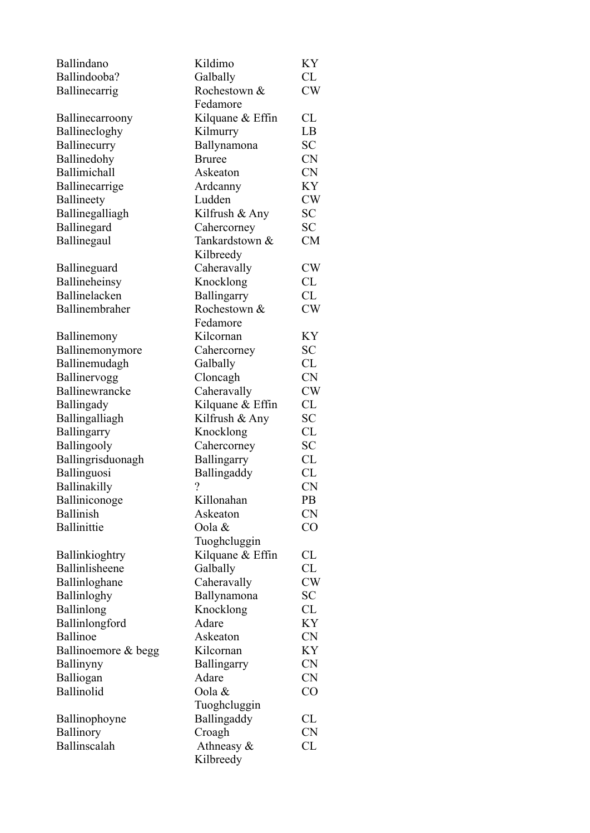| Ballindano          | Kildimo                  | KY        |
|---------------------|--------------------------|-----------|
| Ballindooba?        | Galbally                 | CL        |
| Ballinecarrig       | Rochestown &             | CW        |
|                     | Fedamore                 |           |
| Ballinecarroony     | Kilquane & Effin         | <b>CL</b> |
| Ballinecloghy       | Kilmurry                 | LB        |
| Ballinecurry        | Ballynamona              | <b>SC</b> |
| Ballinedohy         | <b>Bruree</b>            | <b>CN</b> |
| Ballimichall        | Askeaton                 | <b>CN</b> |
| Ballinecarrige      | Ardcanny                 | KY        |
| Ballineety          | Ludden                   | <b>CW</b> |
| Ballinegalliagh     | Kilfrush & Any           | <b>SC</b> |
| Ballinegard         | Cahercorney              | <b>SC</b> |
| Ballinegaul         | Tankardstown &           | <b>CM</b> |
|                     | Kilbreedy                |           |
| Ballineguard        | Caheravally              | <b>CW</b> |
| Ballineheinsy       | Knocklong                | CL        |
| Ballinelacken       | Ballingarry              | CL        |
| Ballinembraher      | Rochestown &             | CW        |
|                     | Fedamore                 |           |
| Ballinemony         | Kilcornan                | KY        |
| Ballinemonymore     | Cahercorney              | <b>SC</b> |
| Ballinemudagh       | Galbally                 | CL        |
| Ballinervogg        | Cloncagh                 | <b>CN</b> |
| Ballinewrancke      | Caheravally              | CW        |
| Ballingady          | Kilquane & Effin         | CL        |
| Ballingalliagh      | Kilfrush & Any           | <b>SC</b> |
| Ballingarry         | Knocklong                | <b>CL</b> |
| Ballingooly         | Cahercorney              | <b>SC</b> |
| Ballingrisduonagh   | Ballingarry              | <b>CL</b> |
| Ballinguosi         | Ballingaddy              | <b>CL</b> |
| Ballinakilly        | $\overline{\mathcal{L}}$ | <b>CN</b> |
| Balliniconoge       | Killonahan               | PB        |
| <b>Ballinish</b>    | Askeaton                 | <b>CN</b> |
| Ballinittie         | Oola &                   | CO        |
|                     | Tuoghcluggin             |           |
| Ballinkioghtry      | Kilquane & Effin         | CL        |
| Ballinlisheene      | Galbally                 | CL        |
| Ballinloghane       | Caheravally              | <b>CW</b> |
| Ballinloghy         | Ballynamona              | <b>SC</b> |
| Ballinlong          | Knocklong                | CL        |
| Ballinlongford      | Adare                    | KY        |
| <b>Ballinoe</b>     | Askeaton                 | <b>CN</b> |
| Ballinoemore & begg | Kilcornan                | KY        |
| Ballinyny           | Ballingarry              | <b>CN</b> |
| Balliogan           | Adare                    | <b>CN</b> |
| Ballinolid          | Oola &                   | CO        |
|                     | Tuoghcluggin             |           |
| Ballinophoyne       | Ballingaddy              | CL        |
| Ballinory           | Croagh                   | <b>CN</b> |
| Ballinscalah        | Athneasy $\&$            | <b>CL</b> |
|                     | Kilbreedy                |           |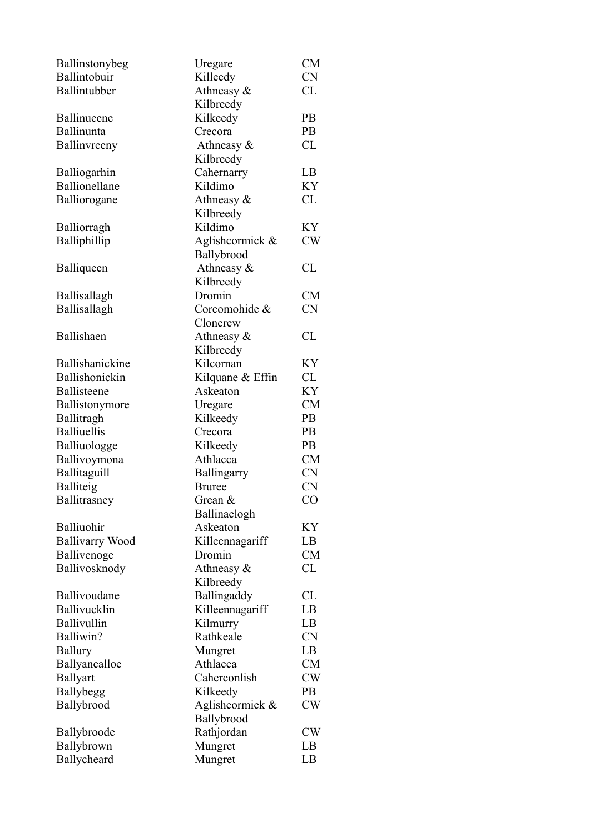| Ballinstonybeg         | Uregare          | <b>CM</b> |
|------------------------|------------------|-----------|
| Ballintobuir           | Killeedy         | <b>CN</b> |
| Ballintubber           | Athneasy &       | CL        |
|                        | Kilbreedy        |           |
| Ballinueene            | Kilkeedy         | <b>PB</b> |
| Ballinunta             | Crecora          | PB        |
| Ballinvreeny           | Athneasy $\&$    | CL        |
|                        | Kilbreedy        |           |
| Balliogarhin           | Cahernarry       | LB        |
| Ballionellane          | Kildimo          | KY        |
| Balliorogane           | Athneasy &       | CL        |
|                        | Kilbreedy        |           |
| <b>Balliorragh</b>     | Kildimo          | KY        |
| Balliphillip           | Aglishcormick &  | CW        |
|                        | Ballybrood       |           |
| Balliqueen             | Athneasy $\&$    | CL        |
|                        | Kilbreedy        |           |
| Ballisallagh           | Dromin           | <b>CM</b> |
| Ballisallagh           | Corcomohide &    | <b>CN</b> |
|                        | Cloncrew         |           |
| Ballishaen             | Athneasy &       | CL        |
|                        | Kilbreedy        |           |
| Ballishanickine        | Kilcornan        | KY        |
| Ballishonickin         | Kilquane & Effin | CL        |
| Ballisteene            | Askeaton         | KY        |
| Ballistonymore         | Uregare          | <b>CM</b> |
| Ballitragh             | Kilkeedy         | <b>PB</b> |
| <b>Balliuellis</b>     | Crecora          | <b>PB</b> |
| Balliuologge           | Kilkeedy         | <b>PB</b> |
| Ballivoymona           | Athlacca         | <b>CM</b> |
| Ballitaguill           | Ballingarry      | <b>CN</b> |
| Balliteig              | <b>Bruree</b>    | <b>CN</b> |
| Ballitrasney           | Grean &          | CO        |
|                        | Ballinaclogh     |           |
| Balliuohir             | Askeaton         | KY        |
| <b>Ballivarry Wood</b> | Killeennagariff  | LB        |
| Ballivenoge            | Dromin           | <b>CM</b> |
| Ballivosknody          | Athneasy $\&$    | CL        |
|                        | Kilbreedy        |           |
| Ballivoudane           | Ballingaddy      | CL        |
| Ballivucklin           | Killeennagariff  | LB        |
| Ballivullin            | Kilmurry         | LB        |
| Balliwin?              | Rathkeale        | <b>CN</b> |
| <b>Ballury</b>         | Mungret          | LB        |
| Ballyancalloe          | Athlacca         | <b>CM</b> |
| <b>Ballyart</b>        | Caherconlish     | <b>CW</b> |
| <b>Ballybegg</b>       | Kilkeedy         | <b>PB</b> |
| Ballybrood             | Aglishcormick &  | CW        |
|                        | Ballybrood       |           |
| Ballybroode            | Rathjordan       | <b>CW</b> |
| Ballybrown             | Mungret          | LB        |
| Ballycheard            | Mungret          | LB        |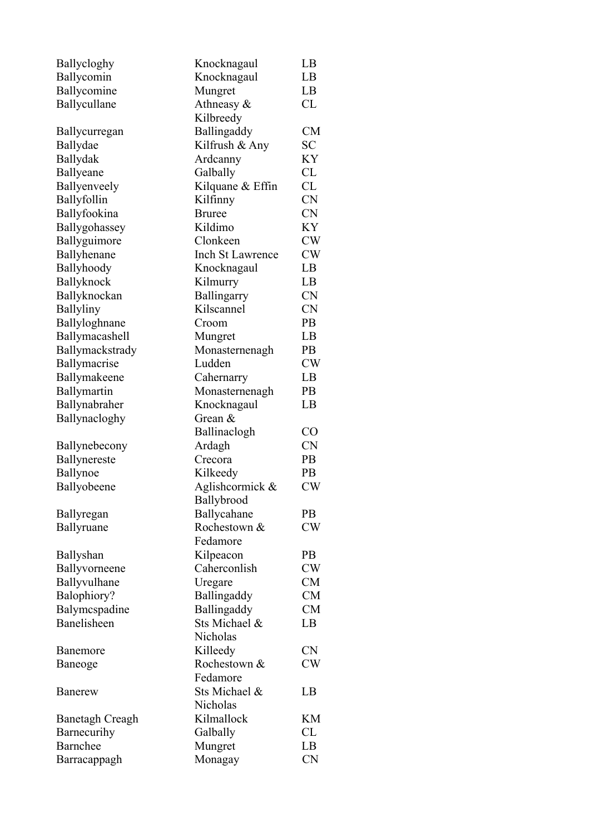| Ballycloghy      | Knocknagaul             | LB             |
|------------------|-------------------------|----------------|
| Ballycomin       | Knocknagaul             | LB             |
| Ballycomine      | Mungret                 | LB             |
| Ballycullane     | Athneasy $\&$           | CL             |
|                  | Kilbreedy               |                |
| Ballycurregan    | Ballingaddy             | CM             |
| Ballydae         | Kilfrush & Any          | SC.            |
| Ballydak         | Ardcanny                | KY             |
| Ballyeane        | Galbally                | CL             |
| Ballyenveely     | Kilquane & Effin        | CL             |
| Ballyfollin      | Kilfinny                | <b>CN</b>      |
| Ballyfookina     | <b>Bruree</b>           | <b>CN</b>      |
| Ballygohassey    | Kildimo                 | <b>KY</b>      |
| Ballyguimore     | Clonkeen                | <b>CW</b>      |
| Ballyhenane      | <b>Inch St Lawrence</b> | <b>CW</b>      |
| Ballyhoody       | Knocknagaul             | LB             |
| Ballyknock       | Kilmurry                | LB             |
| Ballyknockan     | Ballingarry             | <b>CN</b>      |
| <b>Ballyliny</b> | Kilscannel              | <b>CN</b>      |
| Ballyloghnane    | Croom                   | <b>PB</b>      |
| Ballymacashell   | Mungret                 | LB             |
| Ballymackstrady  | Monasternenagh          | PB             |
| Ballymacrise     | Ludden                  | <b>CW</b>      |
| Ballymakeene     | Cahernarry              | LB             |
| Ballymartin      | Monasternenagh          | P <sub>B</sub> |
| Ballynabraher    | Knocknagaul             | LB             |
| Ballynacloghy    | Grean $\&$              |                |
|                  | Ballinaclogh            | CO             |
|                  |                         | <b>CN</b>      |
| Ballynebecony    | Ardagh                  |                |
| Ballynereste     | Crecora                 | P <sub>B</sub> |
| Ballynoe         | Kilkeedy                | PB             |
| Ballyobeene      | Aglishcormick &         | CW             |
|                  | Ballybrood              |                |
| Ballyregan       | Ballycahane             | PB             |
| Ballyruane       | Rochestown &            | CW             |
|                  | Fedamore                |                |
| Ballyshan        | Kilpeacon               | PB             |
| Ballyvorneene    | Caherconlish            | CW             |
| Ballyvulhane     | Uregare                 | <b>CM</b>      |
| Balophiory?      | Ballingaddy             | CM             |
| Balymcspadine    | Ballingaddy             | <b>CM</b>      |
| Banelisheen      | Sts Michael &           | LB             |
|                  | Nicholas                |                |
| Banemore         | Killeedy                | <b>CN</b>      |
| Baneoge          | Rochestown &            | <b>CW</b>      |
|                  | Fedamore                |                |
| <b>Banerew</b>   | Sts Michael &           | LB             |
|                  | Nicholas                |                |
| Banetagh Creagh  | Kilmallock              | KM             |
| Barnecurihy      | Galbally                | CL             |
| Barnchee         | Mungret                 | LB             |
| Barracappagh     | Monagay                 | <b>CN</b>      |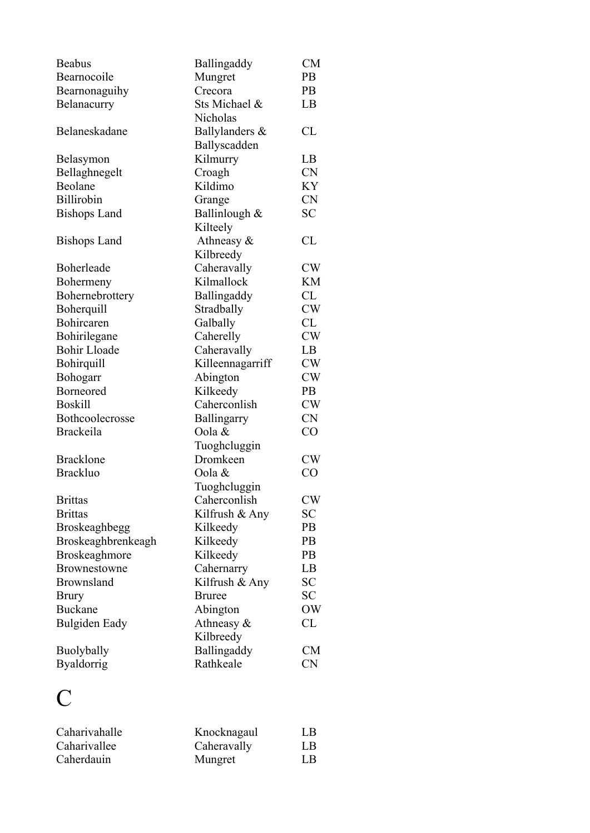| <b>Beabus</b>        | Ballingaddy      | CM        |
|----------------------|------------------|-----------|
| Bearnocoile          | Mungret          | PB        |
| Bearnonaguihy        | Crecora          | <b>PB</b> |
| Belanacurry          | Sts Michael &    | LB        |
|                      | Nicholas         |           |
| Belaneskadane        | Ballylanders &   | CL        |
|                      | Ballyscadden     |           |
| Belasymon            | Kilmurry         | LB        |
| Bellaghnegelt        | Croagh           | <b>CN</b> |
| Beolane              | Kildimo          | KY        |
| Billirobin           | Grange           | <b>CN</b> |
| <b>Bishops Land</b>  | Ballinlough &    | <b>SC</b> |
|                      | Kilteely         |           |
| <b>Bishops Land</b>  | Athneasy $\&$    | CL        |
|                      | Kilbreedy        |           |
| Boherleade           | Caheravally      | CW        |
| Bohermeny            | Kilmallock       | KM        |
| Bohernebrottery      | Ballingaddy      | CL        |
| Boherquill           | Stradbally       | CW        |
| Bohircaren           | Galbally         | CL        |
| Bohirilegane         | Caherelly        | CW        |
| <b>Bohir Lloade</b>  | Caheravally      | LB        |
| Bohirquill           | Killeennagarriff | <b>CW</b> |
| Bohogarr             | Abington         | CW        |
| Borneored            | Kilkeedy         | <b>PB</b> |
| <b>Boskill</b>       | Caherconlish     | CW        |
| Bothcoolecrosse      | Ballingarry      | <b>CN</b> |
| <b>Brackeila</b>     | Oola &           | CO        |
|                      | Tuoghcluggin     |           |
| <b>Bracklone</b>     | Dromkeen         | <b>CW</b> |
| <b>Brackluo</b>      | Oola &           | CO        |
|                      | Tuoghcluggin     |           |
| <b>Brittas</b>       | Caherconlish     | <b>CW</b> |
| <b>Brittas</b>       | Kilfrush & Any   | <b>SC</b> |
| Broskeaghbegg        | Kilkeedy         | PB        |
| Broskeaghbrenkeagh   | Kilkeedy         | PB        |
| <b>Broskeaghmore</b> | Kilkeedy         | PB        |
| Brownestowne         | Cahernarry       | LB        |
| <b>Brownsland</b>    | Kilfrush & Any   | <b>SC</b> |
| <b>Brury</b>         | <b>Bruree</b>    | SC        |
| <b>Buckane</b>       | Abington         | OW        |
| Bulgiden Eady        | Athneasy $\&$    | CL        |
|                      | Kilbreedy        |           |
| <b>Buolybally</b>    | Ballingaddy      | <b>CM</b> |
| <b>Byaldorrig</b>    | Rathkeale        | <b>CN</b> |

## C

| Caharivahalle | Knocknagaul | LB |
|---------------|-------------|----|
| Caharivallee  | Caheravally | LB |
| Caherdauin    | Mungret     | LВ |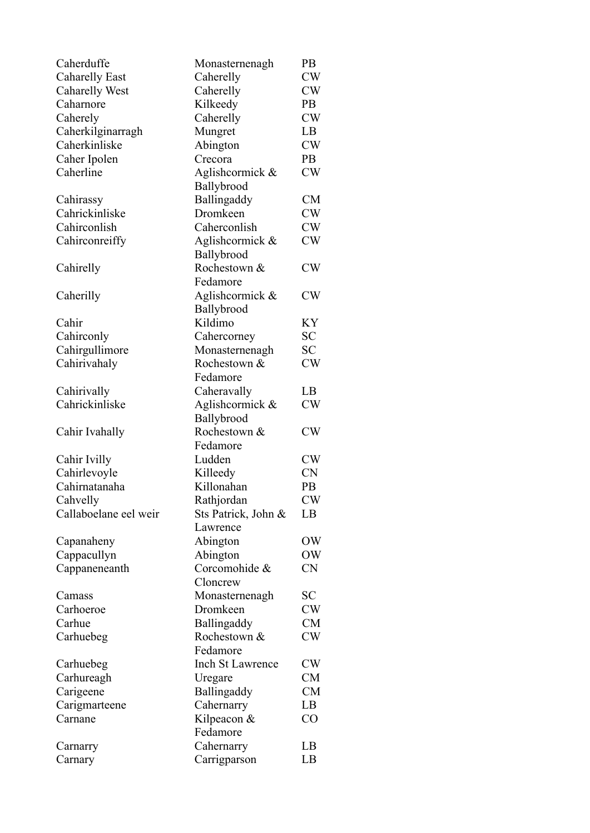| Caherduffe            | Monasternenagh           | PB        |
|-----------------------|--------------------------|-----------|
| <b>Caharelly East</b> | Caherelly                | CW        |
| <b>Caharelly West</b> | Caherelly                | CW        |
| Caharnore             | Kilkeedy                 | <b>PB</b> |
| Caherely              | Caherelly                | CW        |
| Caherkilginarragh     | Mungret                  | LB        |
| Caherkinliske         | Abington                 | CW        |
| Caher Ipolen          | Crecora                  | <b>PB</b> |
| Caherline             | Aglishcormick &          | CW        |
|                       | Ballybrood               |           |
| Cahirassy             | Ballingaddy              | <b>CM</b> |
| Cahrickinliske        | Dromkeen                 | CW        |
| Cahirconlish          | Caherconlish             | CW        |
| Cahirconreiffy        | Aglishcormick &          | CW        |
|                       | Ballybrood               |           |
| Cahirelly             | Rochestown &<br>Fedamore | CW        |
| Caherilly             | Aglishcormick &          | CW        |
|                       | Ballybrood               |           |
| Cahir                 | Kildimo                  | ΚY        |
| Cahirconly            | Cahercorney              | <b>SC</b> |
| Cahirgullimore        | Monasternenagh           | SС        |
| Cahirivahaly          | Rochestown &             | CW        |
|                       | Fedamore                 |           |
| Cahirivally           | Caheravally              | LB        |
| Cahrickinliske        | Aglishcormick &          | CW        |
|                       | Ballybrood               |           |
| Cahir Ivahally        | Rochestown &             | CW        |
|                       | Fedamore                 |           |
| Cahir Ivilly          | Ludden                   | CW        |
| Cahirlevoyle          | Killeedy                 | <b>CN</b> |
| Cahirnatanaha         | Killonahan               | PB        |
| Cahvelly              | Rathjordan               | <b>CW</b> |
| Callaboelane eel weir | Sts Patrick, John &      | LB        |
|                       | Lawrence                 |           |
| Capanaheny            | Abington                 | OW        |
| Cappacullyn           | Abington                 | OW        |
| Cappaneneanth         | Corcomohide &            | <b>CN</b> |
|                       | Cloncrew                 |           |
| Camass                | Monasternenagh           | SС        |
| Carhoeroe             | Dromkeen                 | CW        |
| Carhue                | Ballingaddy              | <b>CM</b> |
| Carhuebeg             | Rochestown &             | CW        |
|                       | Fedamore                 |           |
| Carhuebeg             | Inch St Lawrence         | CW        |
| Carhureagh            | Uregare                  | <b>CM</b> |
| Carigeene             | Ballingaddy              | <b>CM</b> |
| Carigmarteene         | Cahernarry               | LB        |
| Carnane               | Kilpeacon &              | CO        |
|                       | Fedamore                 |           |
| Carnarry              | Cahernarry               | LB        |
| Carnary               | Carrigparson             | LB        |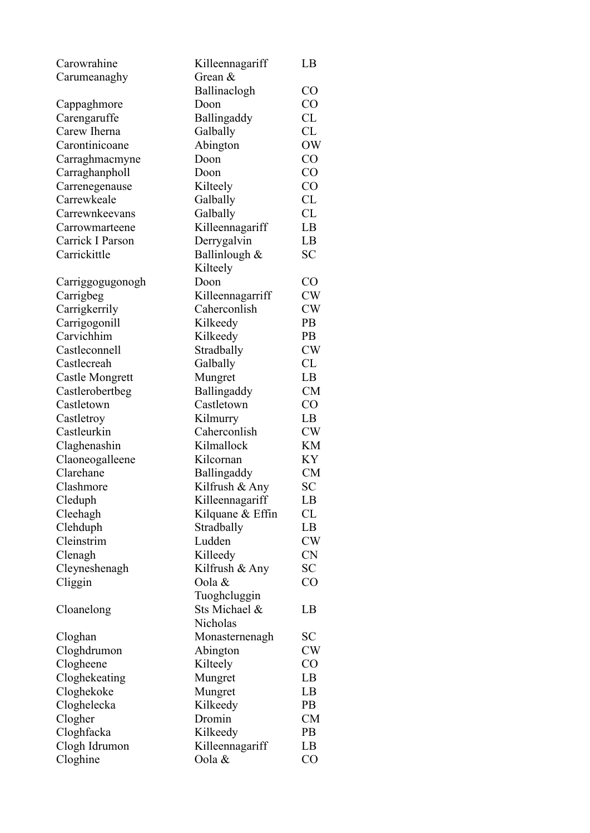| Carowrahine            | Killeennagariff    | LB        |
|------------------------|--------------------|-----------|
| Carumeanaghy           | Grean &            |           |
|                        | Ballinaclogh       | $\rm CO$  |
| Cappaghmore            | Doon               | CO        |
| Carengaruffe           | Ballingaddy        | CL        |
| Carew Iherna           | Galbally           | CL        |
| Carontinicoane         | Abington           | <b>OW</b> |
| Carraghmacmyne         | Doon               | CO        |
| Carraghanpholl         | Doon               | CO        |
| Carrenegenause         | Kilteely           | CO        |
| Carrewkeale            | Galbally           | CL        |
| Carrewnkeevans         | Galbally           | CL        |
| Carrowmarteene         | Killeennagariff    | LB        |
| Carrick I Parson       | Derrygalvin        | LB        |
| Carrickittle           | Ballinlough &      | <b>SC</b> |
|                        | Kilteely           |           |
| Carriggogugonogh       | Doon               | CO        |
| Carrigbeg              | Killeennagarriff   | CW        |
| Carrigkerrily          | Caherconlish       | <b>CW</b> |
| Carrigogonill          | Kilkeedy           | <b>PB</b> |
| Carvichhim             | Kilkeedy           | PB        |
| Castleconnell          | Stradbally         | <b>CW</b> |
| Castlecreah            | Galbally           | CL        |
| <b>Castle Mongrett</b> | Mungret            | LB        |
| Castlerobertbeg        | Ballingaddy        | CM        |
| Castletown             | Castletown         | CO        |
| Castletroy             | Kilmurry           | LB        |
| Castleurkin            | Caherconlish       | CW        |
| Claghenashin           | Kilmallock         | <b>KM</b> |
| Claoneogalleene        | Kilcornan          | <b>KY</b> |
| Clarehane              | <b>Ballingaddy</b> | <b>CM</b> |
| Clashmore              | Kilfrush & Any     | <b>SC</b> |
| Cleduph                | Killeennagariff    | LB        |
| Cleehagh               | Kilquane & Effin   | CL        |
| Clehduph               | Stradbally         | LB        |
| Cleinstrim             | Ludden             | <b>CW</b> |
| Clenagh                | Killeedy           | <b>CN</b> |
| Cleyneshenagh          | Kilfrush & Any     | SC        |
| Cliggin                | Oola &             | CO        |
|                        | Tuoghcluggin       |           |
| Cloanelong             | Sts Michael &      | LB        |
|                        | Nicholas           |           |
| Cloghan                | Monasternenagh     | SС        |
| Cloghdrumon            | Abington           | CW        |
| Clogheene              | Kilteely           | CO        |
| Cloghekeating          | Mungret            | LB        |
| Cloghekoke             | Mungret            | LB        |
| Cloghelecka            | Kilkeedy           | <b>PB</b> |
| Clogher                | Dromin             | <b>CM</b> |
| Cloghfacka             | Kilkeedy           | <b>PB</b> |
| Clogh Idrumon          | Killeennagariff    | LB        |
| Cloghine               | Oola &             | $\rm CO$  |
|                        |                    |           |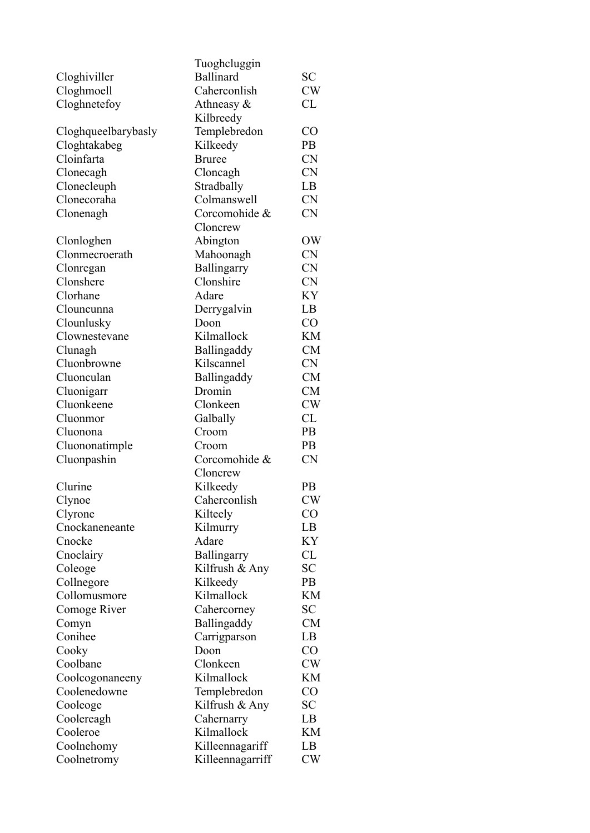|                        | Tuoghcluggin             |           |
|------------------------|--------------------------|-----------|
|                        | <b>Ballinard</b>         | <b>SC</b> |
| Cloghiviller           | Caherconlish             | CW        |
| Cloghmoell             |                          | CL        |
| Cloghnetefoy           | Athneasy $\&$            |           |
|                        | Kilbreedy                |           |
| Cloghqueelbarybasly    | Templebredon             | CO        |
| Cloghtakabeg           | Kilkeedy                 | <b>PB</b> |
| Cloinfarta             | <b>Bruree</b>            | <b>CN</b> |
| Clonecagh              | Cloncagh                 | <b>CN</b> |
| Clonecleuph            | Stradbally               | LB        |
| Clonecoraha            | Colmanswell              | <b>CN</b> |
| Clonenagh              | Corcomohide &            | <b>CN</b> |
|                        | Cloncrew                 |           |
| Clonloghen             | Abington                 | OW        |
| Clonmecroerath         | Mahoonagh                | <b>CN</b> |
| Clonregan              | Ballingarry              | <b>CN</b> |
| Clonshere              | Clonshire                | CN        |
| Clorhane               | Adare                    | KY        |
| Clouncunna             | Derrygalvin              | LB        |
| Clounlusky             | Doon                     | CO        |
| Clownestevane          | Kilmallock               | <b>KM</b> |
| Clunagh                | Ballingaddy              | <b>CM</b> |
| Cluonbrowne            | Kilscannel               | <b>CN</b> |
| Cluonculan             | Ballingaddy              | <b>CM</b> |
| Cluonigarr             | Dromin                   | <b>CM</b> |
| Cluonkeene             | Clonkeen                 | CW        |
| Cluonmor               | Galbally                 | CL        |
| Cluonona               | Croom                    | PB        |
| Cluononatimple         | Croom                    | <b>PB</b> |
| Cluonpashin            | Corcomohide &            | <b>CN</b> |
|                        | Cloncrew                 |           |
| Clurine                | Kilkeedy                 | PB        |
| Clynoe                 | Caherconlish             | <b>CW</b> |
| Clyrone                | Kilteely                 | $\rm CO$  |
| Cnockaneneante         | Kilmurry                 | LB        |
| Cnocke                 | Adare                    | KY        |
| Cnoclairy              | Ballingarry              | CL        |
| Coleoge                | Kilfrush & Any           | <b>SC</b> |
| Collnegore             | Kilkeedy                 | <b>PB</b> |
| Collomusmore           | Kilmallock               | <b>KM</b> |
| Comoge River           | Cahercorney              | SС        |
| Comyn                  | Ballingaddy              | <b>CM</b> |
| Conihee                | Carrigparson             | LB        |
| Cooky                  | Doon                     | $\rm CO$  |
| Coolbane               | Clonkeen                 | <b>CW</b> |
| Coolcogonaneeny        | Kilmallock               | KM        |
| Coolenedowne           |                          | $\rm CO$  |
|                        | Templebredon             | <b>SC</b> |
| Cooleoge               | Kilfrush & Any           |           |
| Coolereagh<br>Cooleroe | Cahernarry<br>Kilmallock | LB<br>KM  |
|                        |                          |           |
| Coolnehomy             | Killeennagariff          | LB        |
| Coolnetromy            | Killeennagarriff         | <b>CW</b> |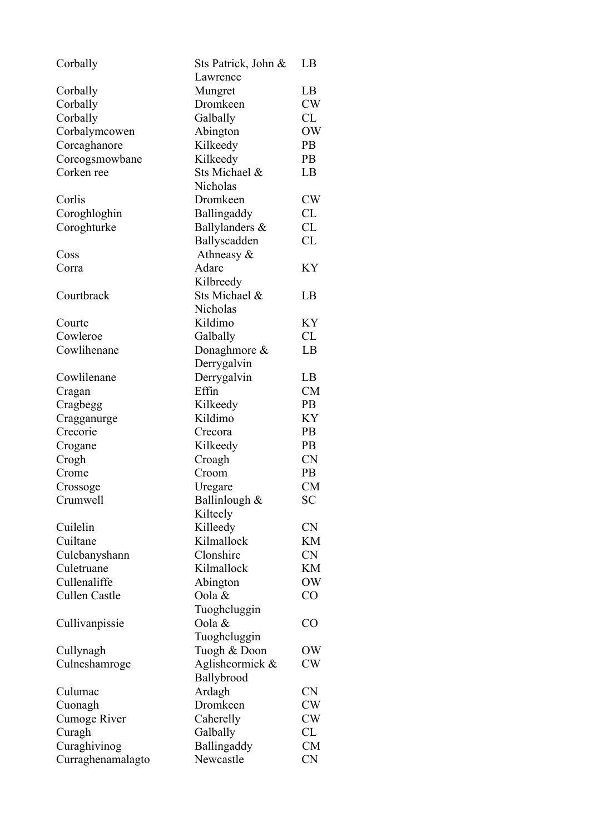| Corbally            | Sts Patrick, John & | LB        |
|---------------------|---------------------|-----------|
|                     | Lawrence            |           |
| Corbally            | Mungret             | LB        |
| Corbally            | Dromkeen            | <b>CW</b> |
| Corbally            | Galbally            | CL        |
| Corbalymcowen       | Abington            | OW        |
| Corcaghanore        | Kilkeedy            | PB        |
| Corcogsmowbane      | Kilkeedy            | <b>PB</b> |
| Corken ree          | Sts Michael &       | LB        |
|                     | Nicholas            |           |
| Corlis              | Dromkeen            | <b>CW</b> |
| Coroghloghin        | Ballingaddy         | CL        |
|                     |                     |           |
| Coroghturke         | Ballylanders &      | CL        |
|                     | Ballyscadden        | CL        |
| Coss                | Athneasy &          |           |
| Corra               | Adare               | KY        |
|                     | Kilbreedy           |           |
| Courtbrack          | Sts Michael &       | LB        |
|                     | Nicholas            |           |
| Courte              | Kildimo             | KY        |
| Cowleroe            | Galbally            | CL        |
| Cowlihenane         | Donaghmore &        | LB        |
|                     | Derrygalvin         |           |
| Cowlilenane         | Derrygalvin         | LB        |
| Cragan              | Effin               | CM        |
| Cragbegg            | Kilkeedy            | <b>PB</b> |
| Cragganurge         | Kildimo             | KY        |
| Crecorie            | Crecora             | <b>PB</b> |
| Crogane             | Kilkeedy            | <b>PB</b> |
| Crogh               | Croagh              | <b>CN</b> |
| Crome               | Croom               | <b>PB</b> |
|                     |                     | <b>CM</b> |
| Crossoge            | Uregare             | <b>SC</b> |
| Crumwell            | Ballinlough &       |           |
|                     | Kilteely            |           |
| Cuilelin            | Killeedy            | <b>CN</b> |
| Cuiltane            | Kilmallock          | KM        |
| Culebanyshann       | Clonshire           | <b>CN</b> |
| Culetruane          | Kilmallock          | KM        |
| Cullenaliffe        | Abington            | OW        |
| Cullen Castle       | Oola &              | CO        |
|                     | Tuoghcluggin        |           |
| Cullivanpissie      | Oola &              | CO        |
|                     | Tuoghcluggin        |           |
| Cullynagh           | Tuogh & Doon        | OW        |
| Culneshamroge       | Aglishcormick &     | CW        |
|                     | Ballybrood          |           |
| Culumac             | Ardagh              | <b>CN</b> |
| Cuonagh             | Dromkeen            | CW        |
| <b>Cumoge River</b> | Caherelly           | CW        |
| Curagh              | Galbally            | CL        |
| Curaghivinog        | Ballingaddy         | <b>CM</b> |
| Curraghenamalagto   | Newcastle           | <b>CN</b> |
|                     |                     |           |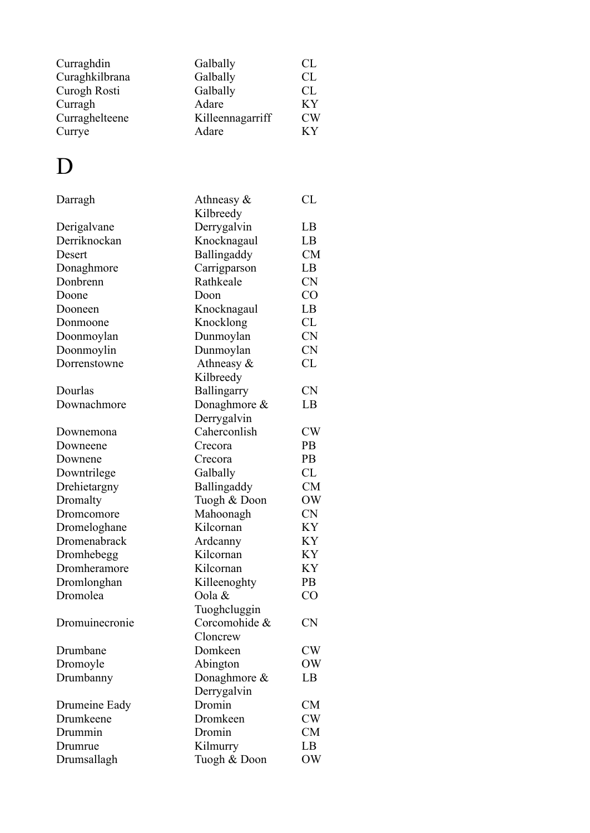| Curraghdin     | Galbally         | -CL |
|----------------|------------------|-----|
| Curaghkilbrana | Galbally         | CL. |
| Curogh Rosti   | Galbally         | CL. |
| Curragh        | Adare            | KY  |
| Curraghelteene | Killeennagarriff | CW  |
| Currye         | Adare            | КY  |

#### D

| Darragh        | Athneasy $\&$ | CL        |
|----------------|---------------|-----------|
|                | Kilbreedy     |           |
| Derigalvane    | Derrygalvin   | LB        |
| Derriknockan   | Knocknagaul   | LB        |
| Desert         | Ballingaddy   | CM        |
| Donaghmore     | Carrigparson  | LB        |
| Donbrenn       | Rathkeale     | <b>CN</b> |
| Doone          | Doon          | CO        |
| Dooneen        | Knocknagaul   | LB        |
| Donmoone       | Knocklong     | CL        |
| Doonmoylan     | Dunmoylan     | <b>CN</b> |
| Doonmoylin     | Dunmoylan     | <b>CN</b> |
| Dorrenstowne   | Athneasy $\&$ | CL        |
|                | Kilbreedy     |           |
| Dourlas        | Ballingarry   | <b>CN</b> |
| Downachmore    | Donaghmore &  | LB        |
|                | Derrygalvin   |           |
| Downemona      | Caherconlish  | CW        |
| Downeene       | Crecora       | <b>PB</b> |
| Downene        | Crecora       | PB        |
| Downtrilege    | Galbally      | CL        |
| Drehietargny   | Ballingaddy   | <b>CM</b> |
| Dromalty       | Tuogh & Doon  | <b>OW</b> |
| Dromcomore     | Mahoonagh     | <b>CN</b> |
| Dromeloghane   | Kilcornan     | <b>KY</b> |
| Dromenabrack   | Ardcanny      | KY        |
| Dromhebegg     | Kilcornan     | KY        |
| Dromheramore   | Kilcornan     | KY        |
| Dromlonghan    | Killeenoghty  | PB        |
| Dromolea       | Oola &        | CO        |
|                | Tuoghcluggin  |           |
| Dromuinecronie | Corcomohide & | <b>CN</b> |
|                | Cloncrew      |           |
| Drumbane       | Domkeen       | CW        |
| Dromoyle       | Abington      | OW        |
| Drumbanny      | Donaghmore &  | LB        |
|                | Derrygalvin   |           |
| Drumeine Eady  | Dromin        | CM        |
| Drumkeene      | Dromkeen      | CW        |
| Drummin        | Dromin        | CM        |
| Drumrue        | Kilmurry      | LB        |
| Drumsallagh    | Tuogh & Doon  | OW        |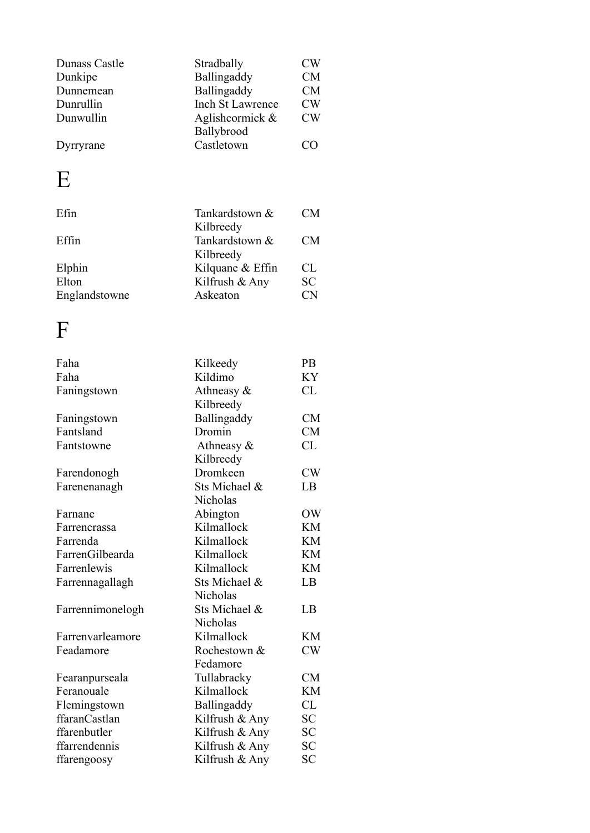| Dunass Castle<br>Dunkipe<br>Dunnemean<br>Dunrullin<br>Dunwullin<br>Dyrryrane | Stradbally<br>Ballingaddy<br>Ballingaddy<br><b>Inch St Lawrence</b><br>Aglishcormick $\&$<br>Ballybrood<br>Castletown | CW<br><b>CM</b><br><b>CM</b><br>CW<br>CW<br>CΟ |
|------------------------------------------------------------------------------|-----------------------------------------------------------------------------------------------------------------------|------------------------------------------------|
| $\mathbf{E}$                                                                 |                                                                                                                       |                                                |
| Efin                                                                         | Tankardstown &<br>Kilbreedy                                                                                           | <b>CM</b>                                      |
| Effin                                                                        | Tankardstown &<br>Kilbreedy                                                                                           | CM                                             |
| Elphin                                                                       | Kilquane & Effin                                                                                                      | CL                                             |
| Elton                                                                        | Kilfrush & Any                                                                                                        | SС                                             |
| Englandstowne                                                                | Askeaton                                                                                                              | <b>CN</b>                                      |
|                                                                              |                                                                                                                       |                                                |

| Faha             | Kilkeedy       | PB        |
|------------------|----------------|-----------|
| Faha             | Kildimo        | KY        |
| Faningstown      | Athneasy $\&$  | CL        |
|                  | Kilbreedy      |           |
| Faningstown      | Ballingaddy    | <b>CM</b> |
| Fantsland        | Dromin         | <b>CM</b> |
| Fantstowne       | Athneasy &     | CL        |
|                  | Kilbreedy      |           |
| Farendonogh      | Dromkeen       | CW        |
| Farenenanagh     | Sts Michael &  | LB        |
|                  | Nicholas       |           |
| Farnane          | Abington       | OW        |
| Farrencrassa     | Kilmallock     | KM        |
| Farrenda         | Kilmallock     | KM        |
| FarrenGilbearda  | Kilmallock     | <b>KM</b> |
| Farrenlewis      | Kilmallock     | <b>KM</b> |
| Farrennagallagh  | Sts Michael &  | LB        |
|                  | Nicholas       |           |
| Farrennimonelogh | Sts Michael &  | LB        |
|                  | Nicholas       |           |
| Farrenvarleamore | Kilmallock     | KМ        |
| Feadamore        | Rochestown &   | CW        |
|                  | Fedamore       |           |
| Fearanpurseala   | Tullabracky    | CM        |
| Feranouale       | Kilmallock     | <b>KM</b> |
| Flemingstown     | Ballingaddy    | CL        |
| ffaranCastlan    | Kilfrush & Any | <b>SC</b> |
| ffarenbutler     | Kilfrush & Any | SС        |
| ffarrendennis    | Kilfrush & Any | <b>SC</b> |
| ffarengoosy      | Kilfrush & Any | SС        |
|                  |                |           |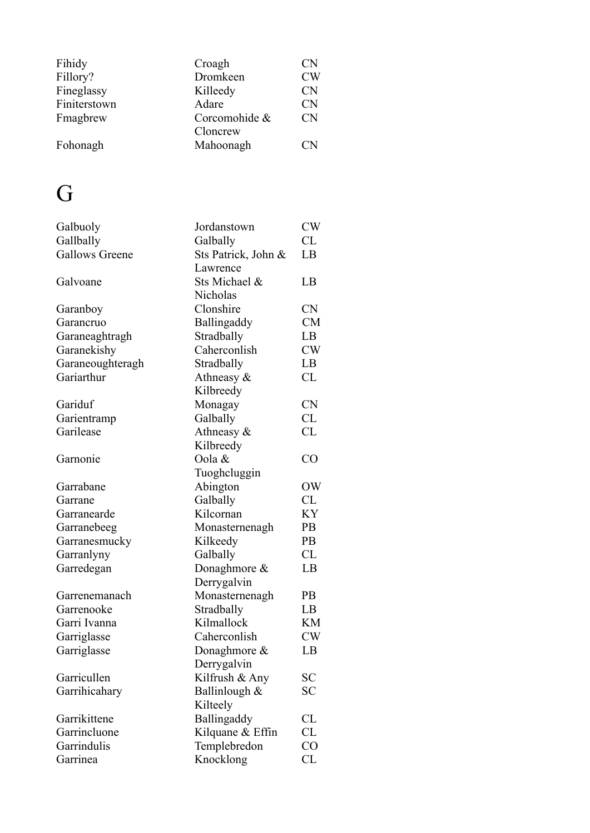| Fihidy       | Croagh        | CN           |
|--------------|---------------|--------------|
| Fillory?     | Dromkeen      | <b>CW</b>    |
| Fineglassy   | Killeedy      | CN           |
| Finiterstown | Adare         | <b>CN</b>    |
| Fmagbrew     | Corcomohide & | <b>CN</b>    |
|              | Cloncrew      |              |
| Fohonagh     | Mahoonagh     | $\mathbf{N}$ |

# G

| Galbuoly              | Jordanstown         | CW        |
|-----------------------|---------------------|-----------|
| Gallbally             | Galbally            | CL        |
| <b>Gallows Greene</b> | Sts Patrick, John & | LB        |
|                       | Lawrence            |           |
| Galvoane              | Sts Michael &       | LB        |
|                       | Nicholas            |           |
| Garanboy              | Clonshire           | <b>CN</b> |
| Garancruo             | Ballingaddy         | <b>CM</b> |
| Garaneaghtragh        | Stradbally          | LB        |
| Garanekishy           | Caherconlish        | CW        |
| Garaneoughteragh      | Stradbally          | LB        |
| Gariarthur            | Athneasy $\&$       | CL        |
|                       | Kilbreedy           |           |
| Gariduf               | Monagay             | <b>CN</b> |
| Garientramp           | Galbally            | CL        |
| Garilease             | Athneasy $\&$       | CL        |
|                       | Kilbreedy           |           |
| Garnonie              | Oola &              | CO        |
|                       | Tuoghcluggin        |           |
| Garrabane             | Abington            | OW        |
| Garrane               | Galbally            | CL        |
| Garranearde           | Kilcornan           | KY        |
| Garranebeeg           | Monasternenagh      | PB        |
| Garranesmucky         | Kilkeedy            | PB        |
| Garranlyny            | Galbally            | CL        |
| Garredegan            | Donaghmore &        | LB        |
|                       | Derrygalvin         |           |
| Garrenemanach         | Monasternenagh      | <b>PB</b> |
| Garrenooke            | Stradbally          | LB        |
| Garri Ivanna          | Kilmallock          | KM        |
| Garriglasse           | Caherconlish        | CW        |
| Garriglasse           | Donaghmore $\&$     | LB        |
|                       | Derrygalvin         |           |
| Garricullen           | Kilfrush & Any      | SС        |
| Garrihicahary         | Ballinlough &       | SС        |
|                       | Kilteely            |           |
| Garrikittene          | Ballingaddy         | CL        |
| Garrincluone          | Kilquane & Effin    | CL        |
| Garrindulis           | Templebredon        | CO        |
| Garrinea              | Knocklong           | CL        |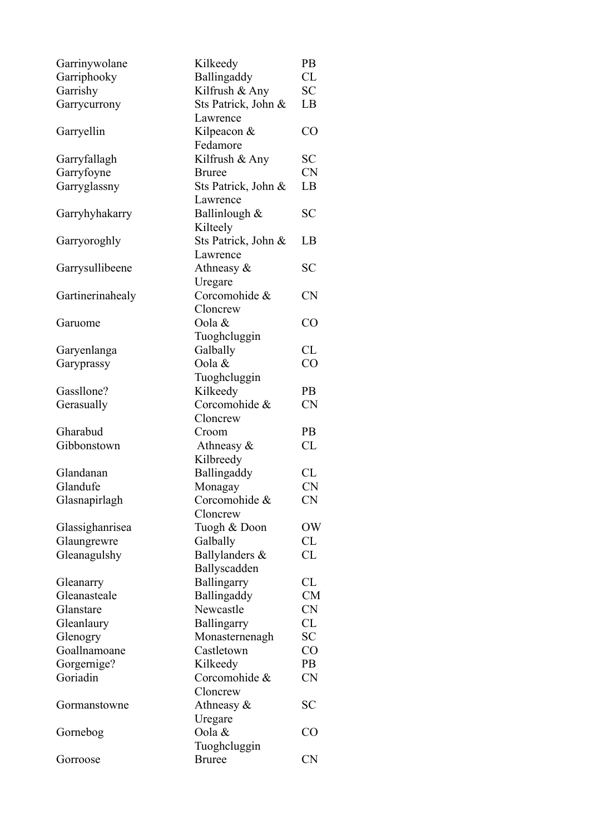| Garrinywolane    | Kilkeedy            | PB        |
|------------------|---------------------|-----------|
| Garriphooky      | Ballingaddy         | <b>CL</b> |
| Garrishy         | Kilfrush & Any      | <b>SC</b> |
| Garrycurrony     | Sts Patrick, John & | LB        |
|                  | Lawrence            |           |
| Garryellin       | Kilpeacon &         | CO        |
|                  | Fedamore            |           |
| Garryfallagh     | Kilfrush & Any      | <b>SC</b> |
| Garryfoyne       | <b>Bruree</b>       | <b>CN</b> |
| Garryglassny     | Sts Patrick, John & | LB        |
|                  | Lawrence            |           |
| Garryhyhakarry   | Ballinlough &       | <b>SC</b> |
|                  | Kilteely            |           |
| Garryoroghly     | Sts Patrick, John & | LB        |
|                  | Lawrence            |           |
| Garrysullibeene  | Athneasy $\&$       | SС        |
|                  | Uregare             |           |
| Gartinerinahealy | Corcomohide &       | <b>CN</b> |
|                  | Cloncrew            |           |
| Garuome          | Oola &              | CO        |
|                  | Tuoghcluggin        |           |
| Garyenlanga      | Galbally            | CL        |
| Garyprassy       | Oola &              | CO        |
|                  | Tuoghcluggin        |           |
| Gassllone?       | Kilkeedy            | PB        |
| Gerasually       | Corcomohide &       | <b>CN</b> |
|                  | Cloncrew            |           |
| Gharabud         | Croom               | <b>PB</b> |
| Gibbonstown      | Athneasy $\&$       | CL        |
|                  | Kilbreedy           |           |
| Glandanan        | Ballingaddy         | CL        |
| Glandufe         | Monagay             | <b>CN</b> |
| Glasnapirlagh    | Corcomohide &       | <b>CN</b> |
|                  | Cloncrew            |           |
| Glassighanrisea  | Tuogh & Doon        | OW        |
| Glaungrewre      | Galbally            | CL        |
| Gleanagulshy     | Ballylanders &      | CL        |
|                  | Ballyscadden        |           |
| Gleanarry        | Ballingarry         | CL        |
| Gleanasteale     | Ballingaddy         | <b>CM</b> |
| Glanstare        | Newcastle           | <b>CN</b> |
| Gleanlaury       | Ballingarry         | CL        |
| Glenogry         | Monasternenagh      | <b>SC</b> |
| Goallnamoane     | Castletown          | CO        |
| Gorgernige?      | Kilkeedy            | PB        |
| Goriadin         | Corcomohide &       | <b>CN</b> |
|                  | Cloncrew            |           |
| Gormanstowne     | Athneasy $\&$       | <b>SC</b> |
|                  | Uregare             |           |
| Gornebog         | Oola &              | CO        |
|                  | Tuoghcluggin        |           |
| Gorroose         | <b>Bruree</b>       | <b>CN</b> |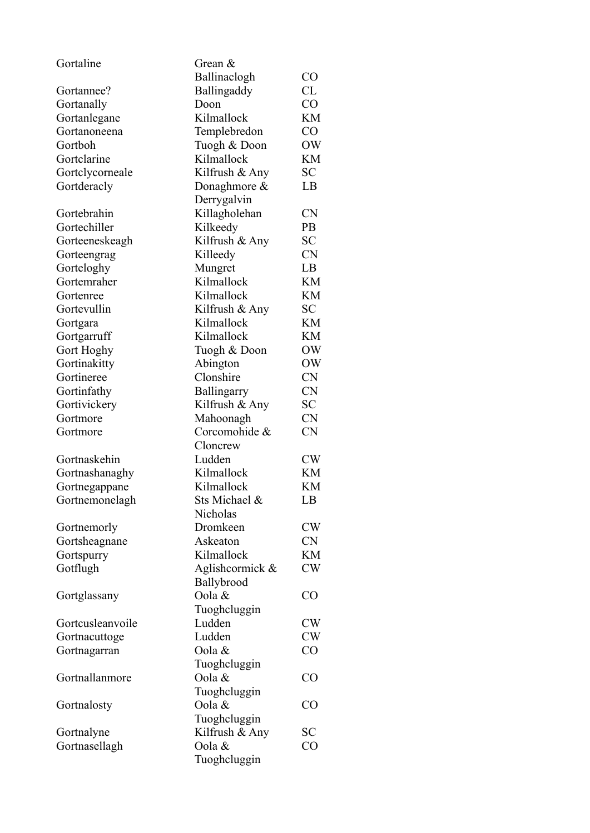| Gortaline        | Grean &         |           |
|------------------|-----------------|-----------|
|                  | Ballinaclogh    | $\rm CO$  |
| Gortannee?       | Ballingaddy     | CL        |
| Gortanally       | Doon            | CO        |
| Gortanlegane     | Kilmallock      | <b>KM</b> |
| Gortanoneena     | Templebredon    | CO        |
| Gortboh          | Tuogh & Doon    | OW        |
| Gortclarine      | Kilmallock      | KM        |
| Gortclycorneale  | Kilfrush & Any  | <b>SC</b> |
| Gortderacly      | Donaghmore $\&$ | LB        |
|                  | Derrygalvin     |           |
| Gortebrahin      | Killagholehan   | <b>CN</b> |
| Gortechiller     | Kilkeedy        | <b>PB</b> |
| Gorteeneskeagh   | Kilfrush & Any  | <b>SC</b> |
| Gorteengrag      | Killeedy        | <b>CN</b> |
| Gorteloghy       | Mungret         | LB        |
| Gortemraher      | Kilmallock      | KM        |
| Gortenree        | Kilmallock      | KM        |
| Gortevullin      | Kilfrush & Any  | SC        |
| Gortgara         | Kilmallock      | KM        |
| Gortgarruff      | Kilmallock      | KM        |
| Gort Hoghy       | Tuogh & Doon    | OW        |
| Gortinakitty     | Abington        | OW        |
| Gortineree       | Clonshire       | <b>CN</b> |
| Gortinfathy      | Ballingarry     | <b>CN</b> |
| Gortivickery     | Kilfrush & Any  | SC        |
| Gortmore         | Mahoonagh       | <b>CN</b> |
| Gortmore         | Corcomohide &   | <b>CN</b> |
|                  | Cloncrew        |           |
| Gortnaskehin     | Ludden          | CW        |
| Gortnashanaghy   | Kilmallock      | KM        |
| Gortnegappane    | Kilmallock      | KM        |
| Gortnemonelagh   | Sts Michael &   | LB        |
|                  | Nicholas        |           |
| Gortnemorly      | Dromkeen        | CW        |
| Gortsheagnane    | Askeaton        | <b>CN</b> |
| Gortspurry       | Kilmallock      | KM        |
| Gotflugh         | Aglishcormick & | CW        |
|                  | Ballybrood      |           |
| Gortglassany     | Oola &          | CO        |
|                  | Tuoghcluggin    |           |
| Gortcusleanvoile | Ludden          | <b>CW</b> |
| Gortnacuttoge    | Ludden          | <b>CW</b> |
| Gortnagarran     | Oola &          | CO        |
|                  | Tuoghcluggin    |           |
| Gortnallanmore   | Oola &          | CO        |
|                  | Tuoghcluggin    |           |
| Gortnalosty      | Oola &          | CO        |
|                  | Tuoghcluggin    |           |
| Gortnalyne       | Kilfrush & Any  | <b>SC</b> |
| Gortnasellagh    | Oola &          | CO        |
|                  | Tuoghcluggin    |           |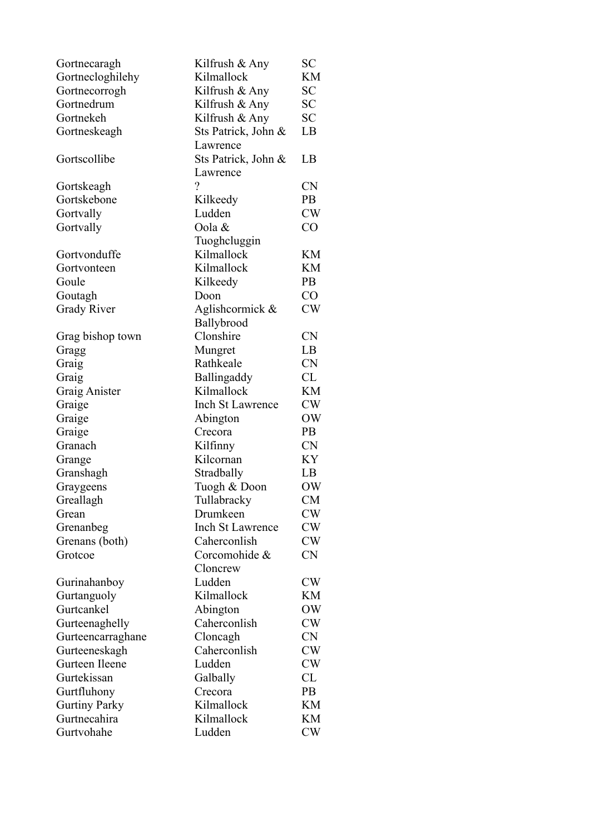| Gortnecaragh         | Kilfrush & Any           | SC        |
|----------------------|--------------------------|-----------|
| Gortnecloghilehy     | Kilmallock               | KM        |
| Gortnecorrogh        | Kilfrush & Any           | SC        |
| Gortnedrum           | Kilfrush & Any           | <b>SC</b> |
| Gortnekeh            | Kilfrush & Any           | <b>SC</b> |
| Gortneskeagh         | Sts Patrick, John &      | LB        |
|                      | Lawrence                 |           |
| Gortscollibe         | Sts Patrick, John &      | LB        |
|                      | Lawrence                 |           |
| Gortskeagh           | $\overline{\mathcal{L}}$ | <b>CN</b> |
| Gortskebone          | Kilkeedy                 | <b>PB</b> |
| Gortvally            | Ludden                   | CW        |
| Gortvally            | Oola &                   | CO        |
|                      | Tuoghcluggin             |           |
| Gortvonduffe         | Kilmallock               | KM        |
| Gortvonteen          | Kilmallock               | KM        |
| Goule                | Kilkeedy                 | <b>PB</b> |
| Goutagh              | Doon                     | CO        |
| <b>Grady River</b>   | Aglishcormick &          | CW        |
|                      | Ballybrood               |           |
| Grag bishop town     | Clonshire                | <b>CN</b> |
| Gragg                | Mungret                  | LB        |
| Graig                | Rathkeale                | <b>CN</b> |
| Graig                | Ballingaddy              | CL        |
| Graig Anister        | Kilmallock               | KM        |
| Graige               | Inch St Lawrence         | <b>CW</b> |
| Graige               | Abington                 | OW        |
| Graige               | Crecora                  | <b>PB</b> |
| Granach              | Kilfinny                 | <b>CN</b> |
| Grange               | Kilcornan                | KY        |
| Granshagh            | Stradbally               | LB        |
| Graygeens            | Tuogh & Doon             | OW        |
| Greallagh            | Tullabracky              | CM        |
| Grean                | Drumkeen                 | CW        |
| Grenanbeg            | <b>Inch St Lawrence</b>  | CW        |
| Grenans (both)       | Caherconlish             | CW        |
| Grotcoe              | Corcomohide &            | CN        |
|                      | Cloncrew                 |           |
| Gurinahanboy         | Ludden                   | CW        |
| Gurtanguoly          | Kilmallock               | KМ        |
| Gurtcankel           | Abington                 | OW        |
| Gurteenaghelly       | Caherconlish             | CW        |
| Gurteencarraghane    | Cloncagh                 | <b>CN</b> |
| Gurteeneskagh        | Caherconlish             | <b>CW</b> |
| Gurteen Ileene       | Ludden                   | CW        |
| Gurtekissan          | Galbally                 | CL        |
| Gurtfluhony          | Crecora                  | <b>PB</b> |
| <b>Gurtiny Parky</b> | Kilmallock               | KM        |
| Gurtnecahira         | Kilmallock               | KM        |
| Gurtvohahe           | Ludden                   | CW        |
|                      |                          |           |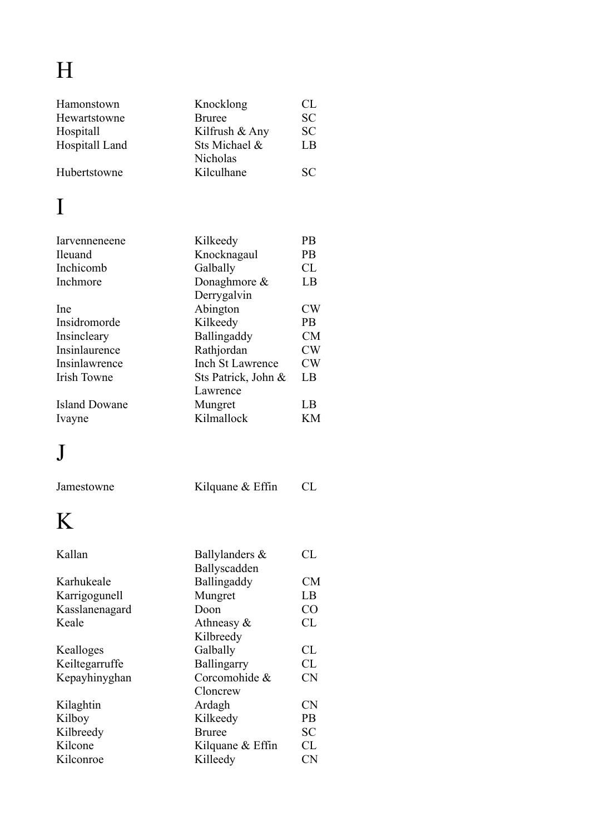# H

| Hamonstown           | Knocklong               | CL        |
|----------------------|-------------------------|-----------|
| Hewartstowne         | <b>Bruree</b>           | <b>SC</b> |
| Hospitall            | Kilfrush & Any          | <b>SC</b> |
| Hospitall Land       | Sts Michael &           | LB        |
|                      | Nicholas                |           |
| Hubertstowne         | Kilculhane              | <b>SC</b> |
| $\mathbf I$          |                         |           |
|                      |                         |           |
| Iarvenneneene        | Kilkeedy                | <b>PB</b> |
| Ileuand              | Knocknagaul             | <b>PB</b> |
| Inchicomb            | Galbally                | CL        |
| Inchmore             | Donaghmore &            | LB        |
|                      | Derrygalvin             |           |
| Ine                  | Abington                | CW        |
| Insidromorde         | Kilkeedy                | <b>PB</b> |
| Insincleary          | Ballingaddy             | <b>CM</b> |
| Insinlaurence        | Rathjordan              | <b>CW</b> |
| Insinlawrence        | <b>Inch St Lawrence</b> | <b>CW</b> |
| <b>Irish Towne</b>   | Sts Patrick, John &     | LB        |
|                      | Lawrence                |           |
| <b>Island Dowane</b> | Mungret                 | LB        |
| Ivayne               | Kilmallock              | KM        |
|                      |                         |           |
|                      |                         |           |
| Jamestowne           | Kilquane $&$ Effin      | CL        |
| $\mathsf{K}$         |                         |           |
| Kallan               | Ballylanders &          | CL        |
|                      | Ballyscadden            |           |
| Karhukeale           | Ballingaddy             | CM        |
| Karrigogunell        | Mungret                 | LB        |
| Kasslanenagard       | Doon                    | CO        |
| Keale                | Athneasy $\&$           | CL        |
|                      | Kilbreedy               |           |
| Kealloges            | Galbally                | CL        |
| Keiltegarruffe       | Ballingarry             | CL        |
| Kepayhinyghan        | Corcomohide &           | <b>CN</b> |
|                      | Cloncrew                |           |
| Kilaghtin            | Ardagh                  | <b>CN</b> |
| Kilboy               | Kilkeedy                | <b>PB</b> |
| Kilbreedy            | <b>Bruree</b>           | <b>SC</b> |
| Kilcone              | Kilquane & Effin        | CL        |
| Kilconroe            | Killeedy                | <b>CN</b> |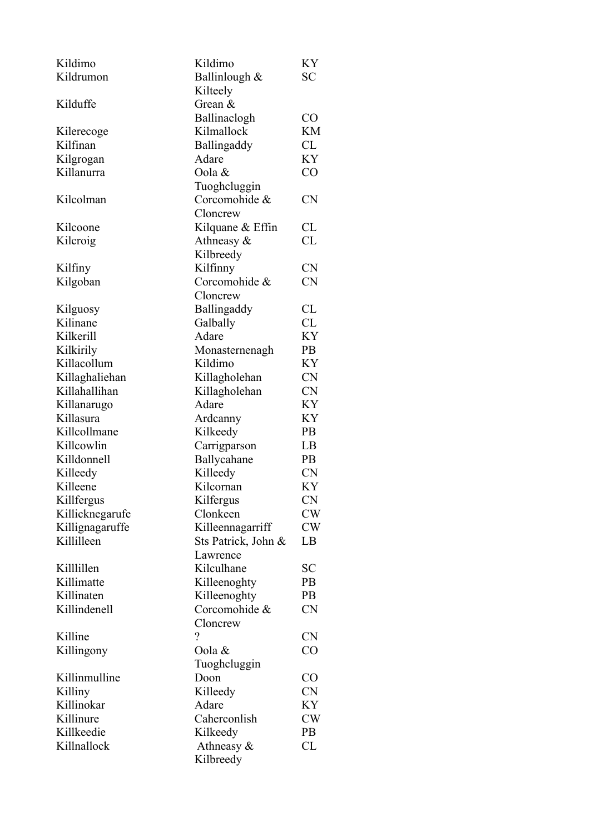| Kildimo         | Kildimo             | KY             |
|-----------------|---------------------|----------------|
| Kildrumon       | Ballinlough &       | SС             |
|                 | Kilteely            |                |
| Kilduffe        | Grean $\&$          |                |
|                 | Ballinaclogh        | CO             |
| Kilerecoge      | Kilmallock          | <b>KM</b>      |
| Kilfinan        | Ballingaddy         | CL             |
| Kilgrogan       | Adare               | KY             |
| Killanurra      | Oola &              | CO             |
|                 | Tuoghcluggin        |                |
| Kilcolman       | Corcomohide &       | <b>CN</b>      |
|                 | Cloncrew            |                |
| Kilcoone        | Kilquane & Effin    | CL             |
| Kilcroig        | Athneasy $\&$       | CL             |
|                 | Kilbreedy           |                |
| Kilfiny         | Kilfinny            | <b>CN</b>      |
| Kilgoban        | Corcomohide &       | <b>CN</b>      |
|                 | Cloncrew            |                |
| Kilguosy        | Ballingaddy         | CL             |
| Kilinane        | Galbally            | <b>CL</b>      |
| Kilkerill       | Adare               | KY             |
| Kilkirily       | Monasternenagh      | <b>PB</b>      |
| Killacollum     | Kildimo             | KY             |
| Killaghaliehan  | Killagholehan       | <b>CN</b>      |
| Killahallihan   | Killagholehan       | <b>CN</b>      |
| Killanarugo     | Adare               | KY             |
| Killasura       | Ardcanny            | KY             |
| Killcollmane    | Kilkeedy            | P <sub>B</sub> |
| Killcowlin      | Carrigparson        | LB             |
| Killdonnell     | Ballycahane         | <b>PB</b>      |
| Killeedy        | Killeedy            | <b>CN</b>      |
| Killeene        | Kilcornan           | KY             |
| Killfergus      | Kilfergus           | <b>CN</b>      |
| Killicknegarufe | Clonkeen            | CW             |
| Killignagaruffe | Killeennagarriff    | CW             |
| Killilleen      | Sts Patrick, John & | LB             |
|                 | Lawrence            |                |
| Killlillen      | Kilculhane          | SС             |
| Killimatte      | Killeenoghty        | PB             |
| Killinaten      | Killeenoghty        | <b>PB</b>      |
| Killindenell    | Corcomohide &       | <b>CN</b>      |
|                 | Cloncrew            |                |
| Killine         | $\gamma$            | <b>CN</b>      |
| Killingony      | Oola &              | CO             |
|                 | Tuoghcluggin        |                |
| Killinmulline   | Doon                | CO             |
| Killiny         | Killeedy            | <b>CN</b>      |
| Killinokar      | Adare               | KY             |
| Killinure       | Caherconlish        | CW             |
| Killkeedie      | Kilkeedy            | <b>PB</b>      |
| Killnallock     | Athneasy $\&$       | CL             |
|                 | Kilbreedy           |                |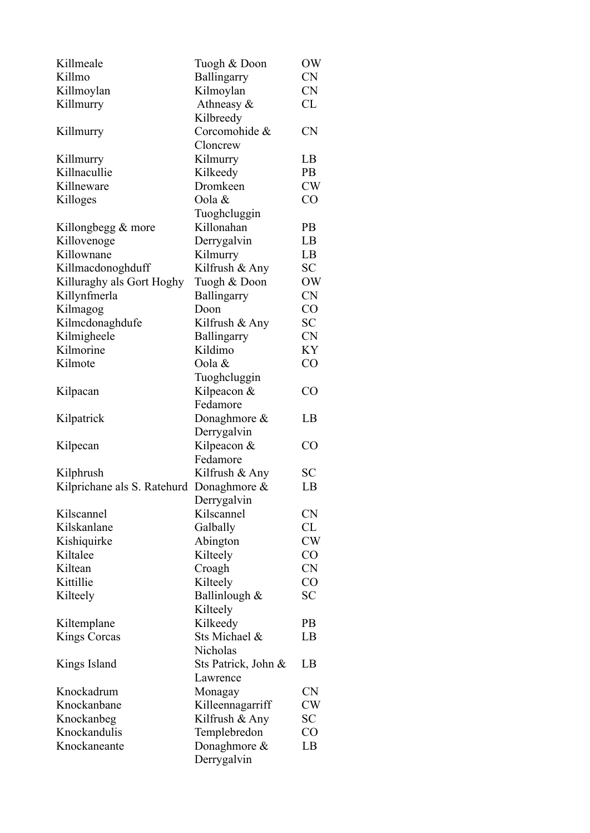| Killmeale                   | Tuogh & Doon        | OW        |
|-----------------------------|---------------------|-----------|
| Killmo                      | Ballingarry         | <b>CN</b> |
| Killmoylan                  | Kilmoylan           | <b>CN</b> |
| Killmurry                   | Athneasy &          | CL        |
|                             | Kilbreedy           |           |
| Killmurry                   | Corcomohide &       | <b>CN</b> |
|                             | Cloncrew            |           |
| Killmurry                   | Kilmurry            | LB        |
| Killnacullie                | Kilkeedy            | <b>PB</b> |
| Killneware                  | Dromkeen            | <b>CW</b> |
| Killoges                    | Oola &              | CO        |
|                             | Tuoghcluggin        |           |
| Killongbegg $&$ more        | Killonahan          | <b>PB</b> |
| Killovenoge                 | Derrygalvin         | LB        |
| Killownane                  | Kilmurry            | LB        |
| Killmacdonoghduff           | Kilfrush & Any      | SC        |
| Killuraghy als Gort Hoghy   | Tuogh & Doon        | <b>OW</b> |
| Killynfmerla                | Ballingarry         | <b>CN</b> |
| Kilmagog                    | Doon                | CO        |
| Kilmcdonaghdufe             | Kilfrush & Any      | <b>SC</b> |
| Kilmigheele                 | Ballingarry         | <b>CN</b> |
| Kilmorine                   | Kildimo             | KY        |
| Kilmote                     | Oola &              | CO        |
|                             | Tuoghcluggin        |           |
| Kilpacan                    | Kilpeacon &         | CO        |
|                             | Fedamore            |           |
| Kilpatrick                  | Donaghmore &        | LB        |
|                             | Derrygalvin         |           |
| Kilpecan                    | Kilpeacon &         | CO        |
|                             | Fedamore            |           |
| Kilphrush                   | Kilfrush & Any      | <b>SC</b> |
| Kilprichane als S. Ratehurd | Donaghmore &        | LB        |
|                             | Derrygalvin         |           |
| Kilscannel                  | Kilscannel          | <b>CN</b> |
| Kilskanlane                 | Galbally            | CL        |
| Kishiquirke                 | Abington            | <b>CW</b> |
| Kiltalee                    | Kilteely            | CO        |
| Kiltean                     | Croagh              | <b>CN</b> |
| Kittillie                   | Kilteely            | CO        |
| Kilteely                    | Ballinlough &       | <b>SC</b> |
|                             | Kilteely            |           |
| Kiltemplane                 | Kilkeedy            | <b>PB</b> |
| <b>Kings Corcas</b>         | Sts Michael &       | LB        |
|                             | Nicholas            |           |
| Kings Island                | Sts Patrick, John & | LB        |
|                             | Lawrence            |           |
| Knockadrum                  |                     | <b>CN</b> |
| Knockanbane                 | Monagay             | <b>CW</b> |
|                             | Killeennagarriff    | SC        |
| Knockanbeg<br>Knockandulis  | Kilfrush & Any      | CO        |
| Knockaneante                | Templebredon        |           |
|                             | Donaghmore &        | LB        |
|                             | Derrygalvin         |           |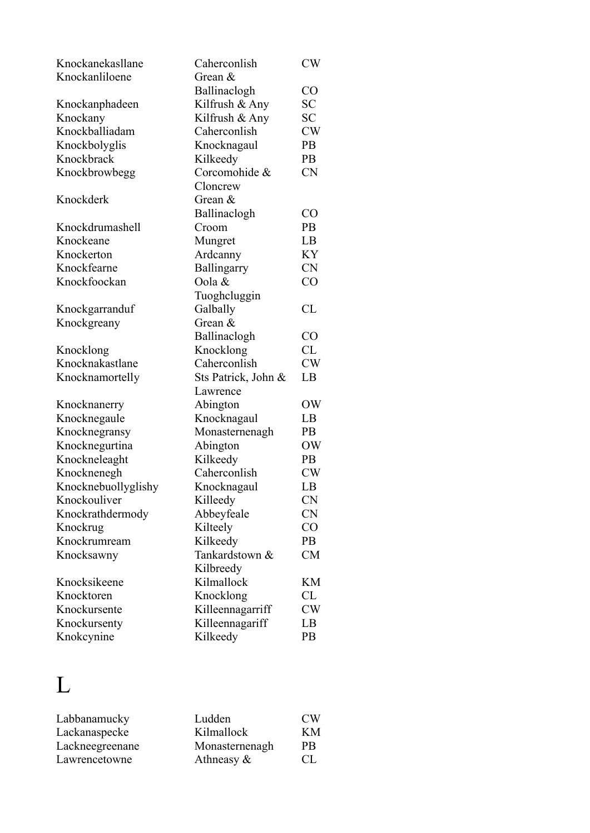| Knockanekasllane    | Caherconlish        | CW             |
|---------------------|---------------------|----------------|
| Knockanliloene      | Grean $\&$          |                |
|                     | Ballinaclogh        | $\rm CO$       |
| Knockanphadeen      | Kilfrush & Any      | <b>SC</b>      |
| Knockany            | Kilfrush & Any      | <b>SC</b>      |
| Knockballiadam      | Caherconlish        | <b>CW</b>      |
| Knockbolyglis       | Knocknagaul         | PB             |
| Knockbrack          | Kilkeedy            | PB             |
| Knockbrowbegg       | Corcomohide &       | <b>CN</b>      |
|                     | Cloncrew            |                |
| Knockderk           | Grean $&$           |                |
|                     | Ballinaclogh        | CO             |
| Knockdrumashell     | Croom               | PB             |
| Knockeane           | Mungret             | LB             |
| Knockerton          | Ardcanny            | <b>KY</b>      |
| Knockfearne         | Ballingarry         | <b>CN</b>      |
| Knockfoockan        | Oola &              | CO             |
|                     | Tuoghcluggin        |                |
| Knockgarranduf      | Galbally            | CL             |
| Knockgreany         | Grean &             |                |
|                     | Ballinaclogh        | CO             |
| Knocklong           | Knocklong           | CL             |
| Knocknakastlane     | Caherconlish        | <b>CW</b>      |
| Knocknamortelly     | Sts Patrick, John & | LB             |
|                     | Lawrence            |                |
| Knocknanerry        | Abington            | OW             |
| Knocknegaule        | Knocknagaul         | LB             |
| Knocknegransy       | Monasternenagh      | P <sub>B</sub> |
| Knocknegurtina      | Abington            | OW             |
| Knockneleaght       | Kilkeedy            | <b>PB</b>      |
| Knocknenegh         | Caherconlish        | <b>CW</b>      |
| Knocknebuollyglishy | Knocknagaul         | LB             |
| Knockouliver        | Killeedy            | <b>CN</b>      |
| Knockrathdermody    | Abbeyfeale          | <b>CN</b>      |
| Knockrug            | Kilteely            | CO             |
| Knockrumream        | Kilkeedy            | PB             |
| Knocksawny          | Tankardstown &      | <b>CM</b>      |
|                     | Kilbreedy           |                |
| Knocksikeene        | Kilmallock          | KМ             |
| Knocktoren          | Knocklong           | CL             |
| Knockursente        | Killeennagarriff    | <b>CW</b>      |
| Knockursenty        | Killeennagariff     | LB             |
| Knokcynine          | Kilkeedy            | PB             |

# L

| Labbanamucky    | Ludden         | CW <sub></sub> |
|-----------------|----------------|----------------|
| Lackanaspecke   | Kilmallock     | KM             |
| Lackneegreenane | Monasternenagh | PB             |
| Lawrencetowne   | Athneasy $\&$  | CL.            |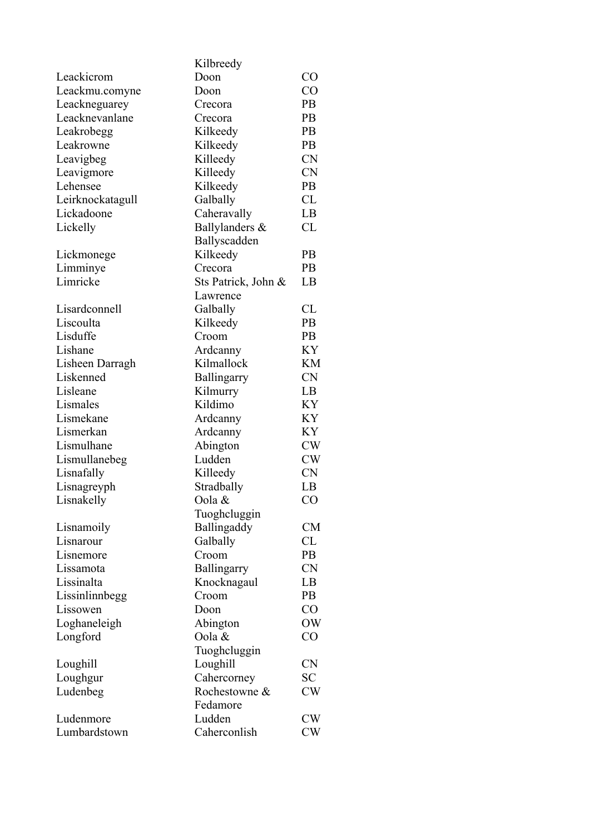|                         | Kilbreedy           |           |
|-------------------------|---------------------|-----------|
| Leackicrom              | Doon                | CO        |
| Leackmu.comyne          | Doon                | CO        |
| Leackneguarey           | Crecora             | <b>PB</b> |
| Leacknevanlane          | Crecora             | <b>PB</b> |
| Leakrobegg              | Kilkeedy            | <b>PB</b> |
| Leakrowne               | Kilkeedy            | PB        |
| Leavigbeg               | Killeedy            | <b>CN</b> |
| Leavigmore              | Killeedy            | <b>CN</b> |
| Lehensee                | Kilkeedy            | PB        |
| Leirknockatagull        | Galbally            | CL        |
| Lickadoone              | Caheravally         | LB        |
| Lickelly                | Ballylanders &      | CL        |
|                         | Ballyscadden        |           |
| Lickmonege              | Kilkeedy            | <b>PB</b> |
| Limminye                | Crecora             | <b>PB</b> |
| Limricke                | Sts Patrick, John & | LB        |
|                         | Lawrence            |           |
| Lisardconnell           | Galbally            | CL        |
| Liscoulta               | Kilkeedy            | PB        |
| Lisduffe                | Croom               | <b>PB</b> |
| Lishane                 | Ardcanny            | KY        |
| Lisheen Darragh         | Kilmallock          | KM        |
| Liskenned               | Ballingarry         | <b>CN</b> |
| Lisleane                | Kilmurry            | LB        |
| Lismales                | Kildimo             | KY        |
| Lismekane               | Ardcanny            | KY        |
| Lismerkan               | Ardcanny            | KY        |
| Lismulhane              | Abington            | <b>CW</b> |
| Lismullanebeg           | Ludden              | CW        |
| Lisnafally              | Killeedy            | <b>CN</b> |
| Lisnagreyph             | Stradbally          | LB        |
| Lisnakelly              | Oola &              | CO        |
|                         | Tuoghcluggin        |           |
|                         |                     | CM        |
| Lisnamoily<br>Lisnarour | Ballingaddy         |           |
|                         | Galbally            | CL        |
| Lisnemore               | Croom               | <b>PB</b> |
| Lissamota               | Ballingarry         | <b>CN</b> |
| Lissinalta              | Knocknagaul         | LB        |
| Lissinlinnbegg          | Croom               | PB        |
| Lissowen                | Doon                | CO        |
| Loghaneleigh            | Abington            | <b>OW</b> |
| Longford                | Oola &              | CO        |
|                         | Tuoghcluggin        |           |
| Loughill                | Loughill            | <b>CN</b> |
| Loughgur                | Cahercorney         | SC        |
| Ludenbeg                | Rochestowne &       | CW        |
|                         | Fedamore            |           |
| Ludenmore               | Ludden              | CW        |
| Lumbardstown            | Caherconlish        | CW        |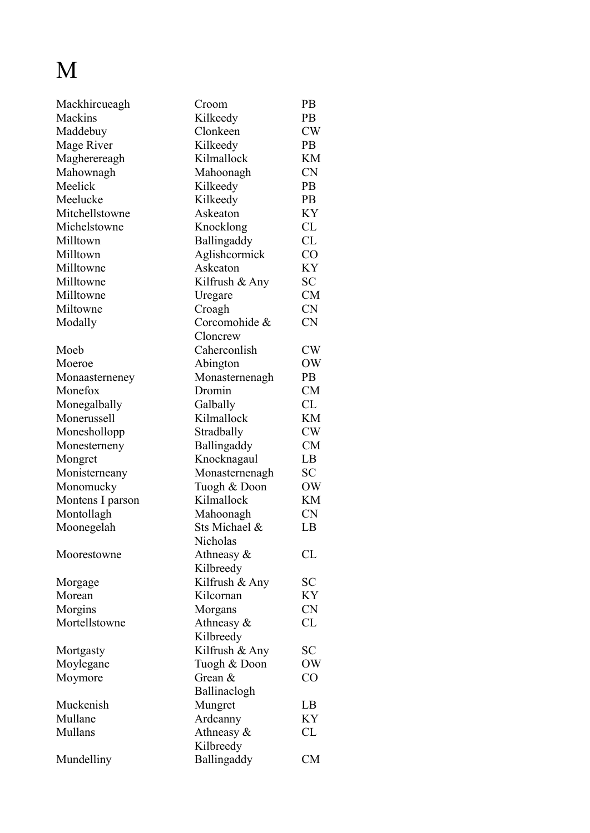# M

| Mackhircueagh    | Croom          | PB            |
|------------------|----------------|---------------|
| Mackins          | Kilkeedy       | PB            |
| Maddebuy         | Clonkeen       | $\mathrm{CW}$ |
| Mage River       | Kilkeedy       | <b>PB</b>     |
| Magherereagh     | Kilmallock     | KM            |
| Mahownagh        | Mahoonagh      | <b>CN</b>     |
| Meelick          | Kilkeedy       | PB            |
| Meelucke         | Kilkeedy       | <b>PB</b>     |
| Mitchellstowne   | Askeaton       | KY            |
| Michelstowne     | Knocklong      | CL            |
| Milltown         | Ballingaddy    | CL            |
| Milltown         | Aglishcormick  | CO            |
| Milltowne        | Askeaton       | KY            |
| Milltowne        | Kilfrush & Any | SС            |
| Milltowne        | Uregare        | <b>CM</b>     |
| Miltowne         | Croagh         | <b>CN</b>     |
| Modally          | Corcomohide &  | <b>CN</b>     |
|                  | Cloncrew       |               |
| Moeb             | Caherconlish   | CW            |
| Moeroe           | Abington       | OW            |
| Monaasterneney   | Monasternenagh | PB            |
| Monefox          | Dromin         | <b>CM</b>     |
| Monegalbally     | Galbally       | CL            |
| Monerussell      | Kilmallock     | KM            |
| Moneshollopp     | Stradbally     | CW            |
| Monesterneny     | Ballingaddy    | <b>CM</b>     |
| Mongret          | Knocknagaul    | LB            |
| Monisterneany    | Monasternenagh | SC            |
| Monomucky        | Tuogh & Doon   | OW            |
| Montens I parson | Kilmallock     | KM            |
| Montollagh       | Mahoonagh      | <b>CN</b>     |
| Moonegelah       | Sts Michael &  | LB            |
|                  | Nicholas       |               |
| Moorestowne      | Athneasy $\&$  | CL            |
|                  | Kilbreedy      |               |
| Morgage          | Kilfrush & Any | <b>SC</b>     |
| Morean           | Kilcornan      | KY            |
| Morgins          | Morgans        | <b>CN</b>     |
| Mortellstowne    | Athneasy $\&$  | CL            |
|                  | Kilbreedy      |               |
| Mortgasty        | Kilfrush & Any | <b>SC</b>     |
| Moylegane        | Tuogh & Doon   | OW            |
| Moymore          | Grean &        | $\rm CO$      |
|                  | Ballinaclogh   |               |
| Muckenish        | Mungret        | LB            |
| Mullane          | Ardcanny       | ΚY            |
| Mullans          | Athneasy &     | CL            |
|                  | Kilbreedy      |               |
| Mundelliny       | Ballingaddy    | <b>CM</b>     |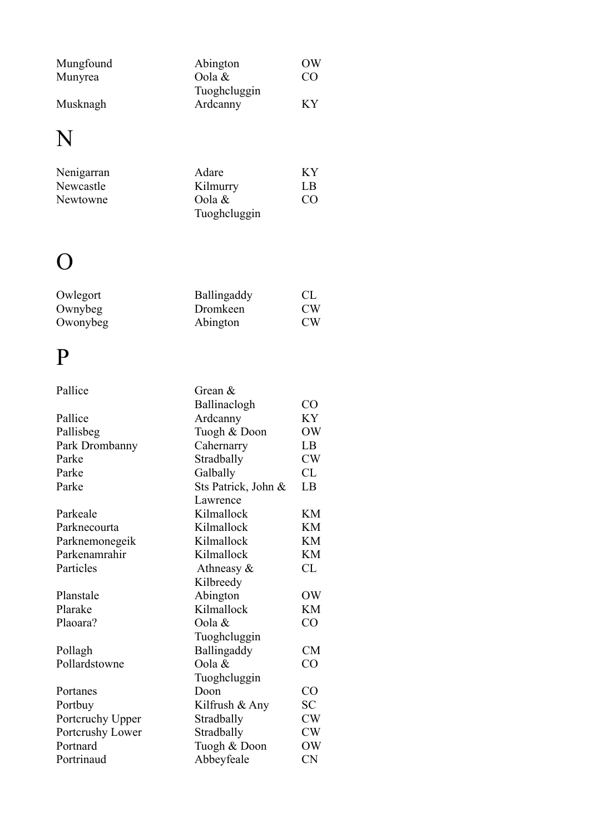| Mungfound | Abington     | OW  |
|-----------|--------------|-----|
| Munyrea   | Oola $\&$    | CO  |
|           | Tuoghcluggin |     |
| Musknagh  | Ardcanny     | K Y |

# N

| Nenigarran | Adare        | K Y |
|------------|--------------|-----|
| Newcastle  | Kilmurry     | LB  |
| Newtowne   | Oola $\&$    | CO  |
|            | Tuoghcluggin |     |

### O

| Owlegort | Ballingaddy | -CL            |
|----------|-------------|----------------|
| Ownybeg  | Dromkeen    | CW <sub></sub> |
| Owonybeg | Abington    | CW <sub></sub> |

## P

| Pallice          | Grean $\&$          |           |
|------------------|---------------------|-----------|
|                  | Ballinaclogh        | CO        |
| Pallice          | Ardcanny            | KY        |
| Pallisbeg        | Tuogh & Doon        | OW        |
| Park Drombanny   | Cahernarry          | LB        |
| Parke            | Stradbally          | CW        |
| Parke            | Galbally            | CL        |
| Parke            | Sts Patrick, John & | LB        |
|                  | Lawrence            |           |
| Parkeale         | Kilmallock          | KM        |
| Parknecourta     | Kilmallock          | KM        |
| Parknemonegeik   | Kilmallock          | KM        |
| Parkenamrahir    | Kilmallock          | KM        |
| Particles        | Athneasy $\&$       | CL        |
|                  | Kilbreedy           |           |
| Planstale        | Abington            | OW        |
| Plarake          | Kilmallock          | <b>KM</b> |
| Plaoara?         | Oola &              | CO        |
|                  | Tuoghcluggin        |           |
| Pollagh          | Ballingaddy         | <b>CM</b> |
| Pollardstowne    | Oola &              | CO        |
|                  | Tuoghcluggin        |           |
| Portanes         | Doon                | CO        |
| Portbuy          | Kilfrush & Any      | SC        |
| Portcruchy Upper | Stradbally          | CW        |
| Portcrushy Lower | Stradbally          | CW        |
| Portnard         | Tuogh & Doon        | OW        |
| Portrinaud       | Abbeyfeale          | <b>CN</b> |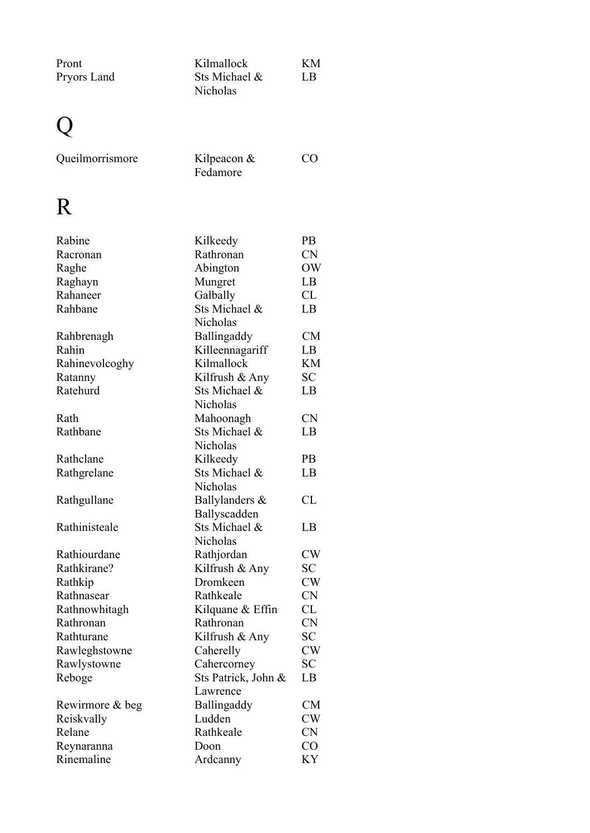| Pront<br>Pryors Land | Kilmallock<br>Sts Michael &<br>Nicholas | ΚM<br>LB  |
|----------------------|-----------------------------------------|-----------|
|                      |                                         |           |
| Queilmorrismore      | Kilpeacon $&$<br>Fedamore               | CO        |
| R                    |                                         |           |
| Rabine               | Kilkeedy                                | PB.       |
| Racronan             | Rathronan                               | <b>CN</b> |
| Raghe                | Abington                                | OW        |
| Raghayn              | Mungret                                 | LB        |
| Rahaneer             | Galbally                                | CL        |
| Rahbane              | Sts Michael &                           | LB        |
|                      | Nicholas                                |           |
| Rahbrenagh           | Ballingaddy                             | <b>CM</b> |
| Rahin                | Killeennagariff                         | LB        |
| Rahinevolcoghy       | Kilmallock                              | KM        |
| Ratanny              | Kilfrush & Any                          | SC        |
| Ratehurd             | Sts Michael &                           | LB        |
|                      | Nicholas                                |           |
| Rath                 | Mahoonagh                               | <b>CN</b> |
| Rathbane             | Sts Michael &<br>Nicholas               | LB        |
| Rathclane            | Kilkeedy                                | <b>PB</b> |
| Rathgrelane          | Sts Michael &                           | LB        |
|                      | Nicholas                                |           |
| Rathgullane          | Ballylanders &                          | <b>CL</b> |
|                      | Ballyscadden                            |           |
| Rathinisteale        | Sts Michael &                           | LB        |
|                      | Nicholas                                |           |
| Rathiourdane         | Rathjordan                              | <b>CW</b> |
| Rathkirane?          | Kilfrush & Any                          | <b>SC</b> |
| Rathkip              | Dromkeen                                | CW        |
| Rathnasear           | Rathkeale                               | <b>CN</b> |
| Rathnowhitagh        | Kilquane & Effin                        | CL        |
| Rathronan            | Rathronan                               | <b>CN</b> |
| Rathturane           | Kilfrush & Any                          | SC        |
| Rawleghstowne        | Caherelly                               | <b>CW</b> |
| Rawlystowne          | Cahercorney                             | SC        |
| Reboge               | Sts Patrick, John &                     | LB        |
|                      | Lawrence                                |           |
| Rewirmore & beg      | Ballingaddy                             | <b>CM</b> |
| Reiskvally           | Ludden                                  | <b>CW</b> |
| Relane               | Rathkeale                               | <b>CN</b> |
| Reynaranna           | Doon                                    | CO        |
| Rinemaline           | Ardcanny                                | KY        |
|                      |                                         |           |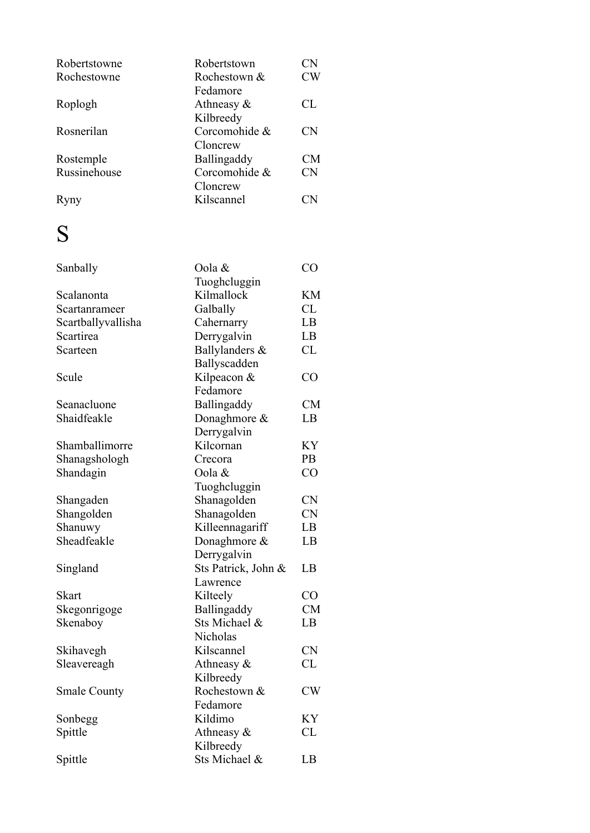| Robertstowne | Robertstown        | CN                     |
|--------------|--------------------|------------------------|
| Rochestowne  | Rochestown &       | CW                     |
|              | Fedamore           |                        |
| Roplogh      | Athneasy $\&$      | CL                     |
|              | Kilbreedy          |                        |
| Rosnerilan   | Corcomohide &      | CN                     |
|              | Cloncrew           |                        |
| Rostemple    | <b>Ballingaddy</b> | CM                     |
| Russinehouse | Corcomohide &      | <b>CN</b>              |
|              | Cloncrew           |                        |
| Ryny         | Kilscannel         | $\mathbb{C}\mathbf{N}$ |
|              |                    |                        |

## S

| Sanbally            | Oola &              | CO        |
|---------------------|---------------------|-----------|
|                     | Tuoghcluggin        |           |
| Scalanonta          | Kilmallock          | <b>KM</b> |
| Scartanrameer       | Galbally            | CL        |
| Scartballyvallisha  | Cahernarry          | LB        |
| Scartirea           | Derrygalvin         | LB        |
| Scarteen            | Ballylanders &      | CL        |
|                     | Ballyscadden        |           |
| Scule               | Kilpeacon &         | CO        |
|                     | Fedamore            |           |
| Seanacluone         | Ballingaddy         | CM        |
| Shaidfeakle         | Donaghmore &        | LB        |
|                     | Derrygalvin         |           |
| Shamballimorre      | Kilcornan           | KY        |
| Shanagshologh       | Crecora             | PB        |
| Shandagin           | Oola &              | CO        |
|                     | Tuoghcluggin        |           |
| Shangaden           | Shanagolden         | <b>CN</b> |
| Shangolden          | Shanagolden         | <b>CN</b> |
| Shanuwy             | Killeennagariff     | LB        |
| Sheadfeakle         | Donaghmore $\&$     | LB        |
|                     | Derrygalvin         |           |
| Singland            | Sts Patrick, John & | LB        |
|                     | Lawrence            |           |
| <b>Skart</b>        | Kilteely            | CO        |
| Skegonrigoge        | Ballingaddy         | <b>CM</b> |
| Skenaboy            | Sts Michael &       | LB        |
|                     | Nicholas            |           |
| Skihavegh           | Kilscannel          | <b>CN</b> |
| Sleavereagh         | Athneasy &          | <b>CL</b> |
|                     | Kilbreedy           |           |
| <b>Smale County</b> | Rochestown &        | CW        |
|                     | Fedamore            |           |
| Sonbegg             | Kildimo             | KY        |
| Spittle             | Athneasy &          | <b>CL</b> |
|                     | Kilbreedy           |           |
| Spittle             | Sts Michael &       | LB        |
|                     |                     |           |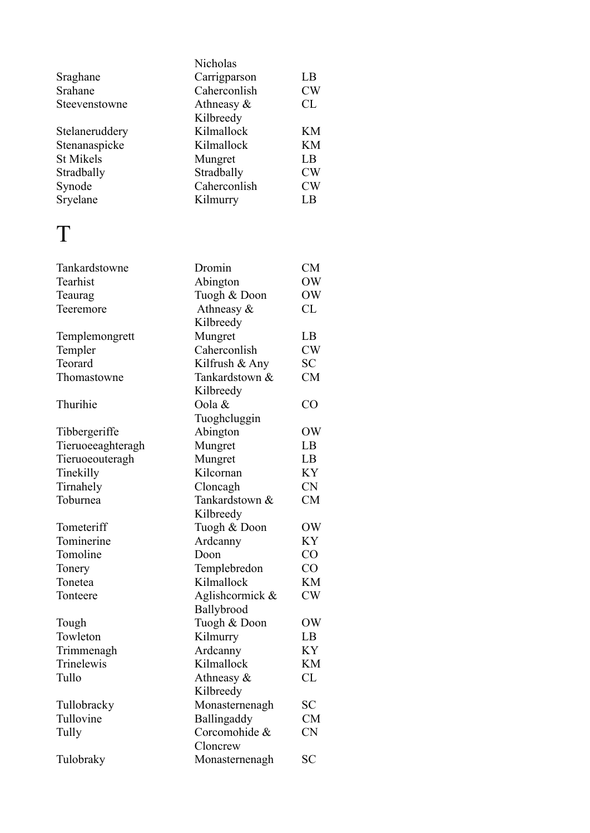|                   | Nicholas                      |           |
|-------------------|-------------------------------|-----------|
| Sraghane          | Carrigparson                  | LB        |
| Srahane           | Caherconlish                  | CW        |
| Steevenstowne     | Athneasy &                    | CL        |
|                   | Kilbreedy                     |           |
| Stelaneruddery    | Kilmallock                    | <b>KM</b> |
| Stenanaspicke     | Kilmallock                    | KM        |
| <b>St Mikels</b>  | Mungret                       | LB        |
| Stradbally        | Stradbally                    | CW        |
| Synode            | Caherconlish                  | CW        |
| Sryelane          | Kilmurry                      | LB        |
| Т                 |                               |           |
|                   |                               |           |
| Tankardstowne     | Dromin                        | CM        |
| Tearhist          | Abington                      | OW        |
| Teaurag           | Tuogh & Doon                  | OW        |
| Teeremore         | Athneasy &                    | CL        |
|                   | Kilbreedy                     |           |
| Templemongrett    | Mungret                       | LB        |
| Templer           | Caherconlish                  | <b>CW</b> |
| Teorard           | Kilfrush & Any                | SC        |
| Thomastowne       | Tankardstown &                | CM        |
|                   | Kilbreedy                     |           |
| Thurihie          | Oola &                        | CO        |
|                   | Tuoghcluggin                  |           |
| Tibbergeriffe     | Abington                      | OW        |
| Tieruoeeaghteragh | Mungret                       | LB        |
| Tieruoeouteragh   | Mungret                       | LB        |
| Tinekilly         | Kilcornan                     | KY        |
| Tirnahely         | Cloncagh                      | <b>CN</b> |
| Toburnea          | Tankardstown &                | <b>CM</b> |
|                   | Kilbreedy                     |           |
| Tometeriff        | Tuogh & Doon                  | OW        |
| Tominerine        | Ardcanny                      | KY        |
| Tomoline          | Doon                          | CO        |
| Tonery            | Templebredon                  | $\rm CO$  |
| Tonetea           | Kilmallock                    | KM        |
| Tonteere          | Aglishcormick &<br>Ballybrood | <b>CW</b> |
| Tough             | Tuogh & Doon                  | OW        |
| Towleton          | Kilmurry                      | LB        |
| Trimmenagh        | Ardcanny                      | KY        |
| Trinelewis        | Kilmallock                    | KM        |
| Tullo             | Athneasy $\&$                 | CL        |
|                   | Kilbreedy                     |           |
| Tullobracky       | Monasternenagh                | SС        |
| Tullovine         | Ballingaddy                   | <b>CM</b> |
| Tully             | Corcomohide &                 | <b>CN</b> |
|                   | Cloncrew                      |           |
| Tulobraky         | Monasternenagh                | <b>SC</b> |